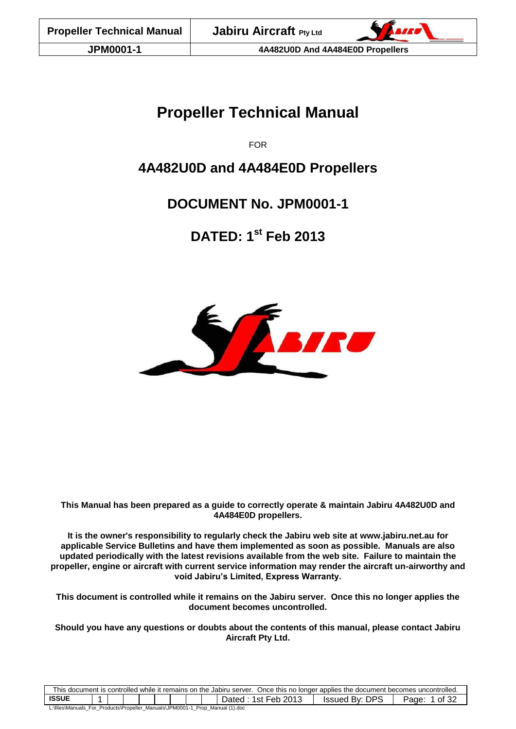# **Propeller Technical Manual**

FOR

# **4A482U0D and 4A484E0D Propellers**

# **DOCUMENT No. JPM0001-1**

**DATED: 1 st Feb 2013**



**This Manual has been prepared as a guide to correctly operate & maintain Jabiru 4A482U0D and 4A484E0D propellers.**

**It is the owner's responsibility to regularly check the Jabiru web site at [www.jabiru.net.au](http://www.jabiru.net.au/) for applicable Service Bulletins and have them implemented as soon as possible. Manuals are also updated periodically with the latest revisions available from the web site. Failure to maintain the propeller, engine or aircraft with current service information may render the aircraft un-airworthy and void Jabiru's Limited, Express Warranty.**

**This document is controlled while it remains on the Jabiru server. Once this no longer applies the document becomes uncontrolled.**

**Should you have any questions or doubts about the contents of this manual, please contact Jabiru Aircraft Pty Ltd.**

| This document is controlled while it remains on the Jabiru server. Once this no longer applies the document becomes uncontrolled. |  |  |  |  |  |  |  |  |                     |                |                |
|-----------------------------------------------------------------------------------------------------------------------------------|--|--|--|--|--|--|--|--|---------------------|----------------|----------------|
| <b>ISSUE</b>                                                                                                                      |  |  |  |  |  |  |  |  | Dated: 1st Feb 2013 | Issued By: DPS | of 32<br>Page: |
| L:\files\Manuals For Products\Propeller Manuals\JPM0001-1 Prop Manual (1).doc                                                     |  |  |  |  |  |  |  |  |                     |                |                |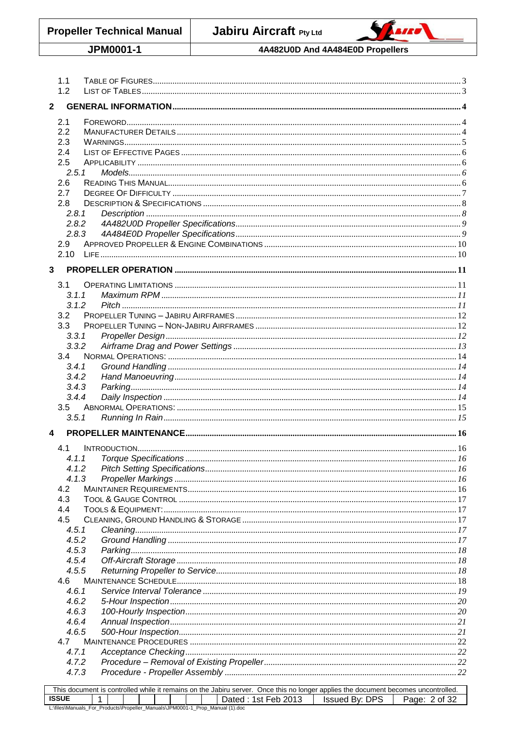**Propeller Technical Manual** 

Jabiru Aircraft Pty Ltd



JPM0001-1

#### 4A482U0D And 4A484E0D Propellers

| 1.1<br>1.2                                                                    |  |  |  |  |                     |                                                                                                                                                     |               |  |
|-------------------------------------------------------------------------------|--|--|--|--|---------------------|-----------------------------------------------------------------------------------------------------------------------------------------------------|---------------|--|
| $\mathbf{2}$                                                                  |  |  |  |  |                     |                                                                                                                                                     |               |  |
| 2.1                                                                           |  |  |  |  |                     |                                                                                                                                                     |               |  |
| 2.2                                                                           |  |  |  |  |                     |                                                                                                                                                     |               |  |
| 2.3                                                                           |  |  |  |  |                     |                                                                                                                                                     |               |  |
| 2.4                                                                           |  |  |  |  |                     |                                                                                                                                                     |               |  |
| 2.5                                                                           |  |  |  |  |                     |                                                                                                                                                     |               |  |
| 2.5.1                                                                         |  |  |  |  |                     |                                                                                                                                                     |               |  |
| 2.6                                                                           |  |  |  |  |                     |                                                                                                                                                     |               |  |
| 2.7<br>2.8                                                                    |  |  |  |  |                     |                                                                                                                                                     |               |  |
| 2.8.1                                                                         |  |  |  |  |                     |                                                                                                                                                     |               |  |
| 2.8.2                                                                         |  |  |  |  |                     |                                                                                                                                                     |               |  |
| 2.8.3                                                                         |  |  |  |  |                     |                                                                                                                                                     |               |  |
| 2.9                                                                           |  |  |  |  |                     |                                                                                                                                                     |               |  |
| 2.10                                                                          |  |  |  |  |                     |                                                                                                                                                     |               |  |
| 3                                                                             |  |  |  |  |                     |                                                                                                                                                     |               |  |
| 3.1                                                                           |  |  |  |  |                     |                                                                                                                                                     |               |  |
| 3.1.1                                                                         |  |  |  |  |                     |                                                                                                                                                     |               |  |
| 3.1.2                                                                         |  |  |  |  |                     |                                                                                                                                                     |               |  |
| 3.2                                                                           |  |  |  |  |                     |                                                                                                                                                     |               |  |
| 3.3                                                                           |  |  |  |  |                     |                                                                                                                                                     |               |  |
| 3.3.1                                                                         |  |  |  |  |                     |                                                                                                                                                     |               |  |
| 3.3.2<br>3.4                                                                  |  |  |  |  |                     |                                                                                                                                                     |               |  |
| 3.4.1                                                                         |  |  |  |  |                     |                                                                                                                                                     |               |  |
| 3.4.2                                                                         |  |  |  |  |                     |                                                                                                                                                     |               |  |
| 3.4.3                                                                         |  |  |  |  |                     |                                                                                                                                                     |               |  |
| 3.4.4                                                                         |  |  |  |  |                     |                                                                                                                                                     |               |  |
| 3.5                                                                           |  |  |  |  |                     |                                                                                                                                                     |               |  |
| 3.5.1                                                                         |  |  |  |  |                     |                                                                                                                                                     |               |  |
| 4                                                                             |  |  |  |  |                     |                                                                                                                                                     |               |  |
| 4.1                                                                           |  |  |  |  |                     |                                                                                                                                                     |               |  |
| 4.1.1                                                                         |  |  |  |  |                     |                                                                                                                                                     |               |  |
| 4.1.2                                                                         |  |  |  |  |                     |                                                                                                                                                     |               |  |
| 4.1.3                                                                         |  |  |  |  |                     |                                                                                                                                                     |               |  |
| 4.2                                                                           |  |  |  |  |                     |                                                                                                                                                     |               |  |
| 4.3<br>4.4                                                                    |  |  |  |  |                     |                                                                                                                                                     |               |  |
| 4.5                                                                           |  |  |  |  |                     |                                                                                                                                                     |               |  |
| 4.5.1                                                                         |  |  |  |  |                     |                                                                                                                                                     |               |  |
| 4.5.2                                                                         |  |  |  |  |                     |                                                                                                                                                     |               |  |
| 4.5.3                                                                         |  |  |  |  |                     |                                                                                                                                                     |               |  |
| 4.5.4                                                                         |  |  |  |  |                     |                                                                                                                                                     |               |  |
| 4.5.5                                                                         |  |  |  |  |                     |                                                                                                                                                     |               |  |
| 4.6                                                                           |  |  |  |  |                     |                                                                                                                                                     |               |  |
| 4.6.1                                                                         |  |  |  |  |                     |                                                                                                                                                     |               |  |
| 4.6.2                                                                         |  |  |  |  |                     |                                                                                                                                                     |               |  |
| 4.6.3                                                                         |  |  |  |  |                     |                                                                                                                                                     |               |  |
| 4.6.4<br>4.6.5                                                                |  |  |  |  |                     |                                                                                                                                                     |               |  |
| 4.7                                                                           |  |  |  |  |                     |                                                                                                                                                     |               |  |
| 4.7.1                                                                         |  |  |  |  |                     |                                                                                                                                                     |               |  |
| 4.7.2                                                                         |  |  |  |  |                     |                                                                                                                                                     |               |  |
| 4.7.3                                                                         |  |  |  |  |                     |                                                                                                                                                     |               |  |
|                                                                               |  |  |  |  |                     |                                                                                                                                                     |               |  |
| <b>ISSUE</b>                                                                  |  |  |  |  | Dated: 1st Feb 2013 | This document is controlled while it remains on the Jabiru server. Once this no longer applies the document becomes uncontrolled.<br>Issued By: DPS | Page: 2 of 32 |  |
| L:\files\Manuals_For_Products\Propeller_Manuals\JPM0001-1_Prop_Manual (1).doc |  |  |  |  |                     |                                                                                                                                                     |               |  |
|                                                                               |  |  |  |  |                     |                                                                                                                                                     |               |  |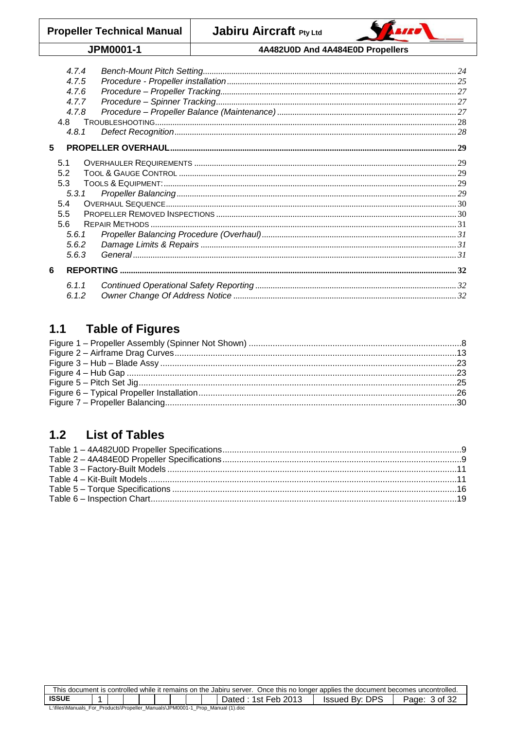# JPM0001-1

4A482U0D And 4A484E0D Propellers

|   | 4.7.4 |  |
|---|-------|--|
|   | 4.7.5 |  |
|   | 4.7.6 |  |
|   | 4.7.7 |  |
|   | 4.7.8 |  |
|   | 4.8   |  |
|   | 4.8.1 |  |
| 5 |       |  |
|   |       |  |
|   | 5.1   |  |
|   | 5.2   |  |
|   | 5.3   |  |
|   | 5.3.1 |  |
|   | 5.4   |  |
|   | 5.5   |  |
|   | 5.6   |  |
|   | 5.6.1 |  |
|   | 5.6.2 |  |
|   | 5.6.3 |  |
| 6 |       |  |
|   | 6.1.1 |  |
|   | 6.1.2 |  |
|   |       |  |

#### <span id="page-2-0"></span>**Table of Figures**  $1.1$

#### <span id="page-2-1"></span>**List of Tables**  $1.2$

| This document is controlled while it remains on the Jabiru server. Once this no longer applies the document becomes uncontrolled. |  |  |  |  |  |  |  |  |                     |                       |               |
|-----------------------------------------------------------------------------------------------------------------------------------|--|--|--|--|--|--|--|--|---------------------|-----------------------|---------------|
| <b>ISSUE</b>                                                                                                                      |  |  |  |  |  |  |  |  | Dated: 1st Feb 2013 | <b>Issued By: DPS</b> | Page: 3 of 32 |
| L:\files\Manuals_For_Products\Propeller_Manuals\JPM0001-1_Prop_Manual (1).doc                                                     |  |  |  |  |  |  |  |  |                     |                       |               |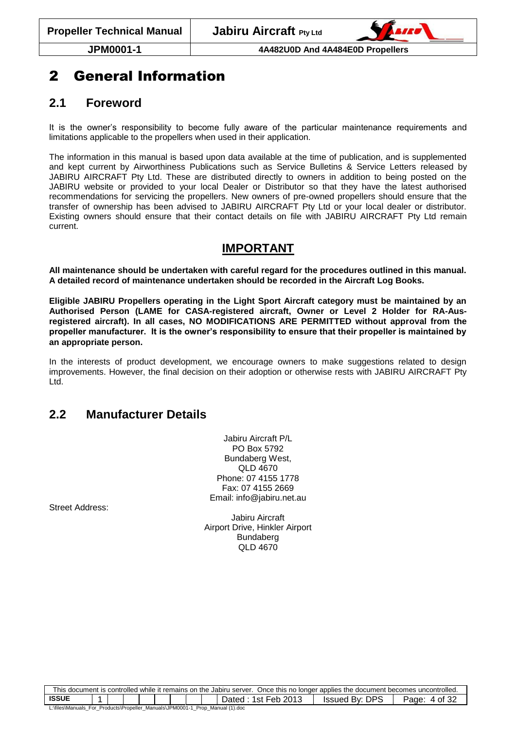

# <span id="page-3-0"></span>2 General Information

## <span id="page-3-1"></span>**2.1 Foreword**

It is the owner's responsibility to become fully aware of the particular maintenance requirements and limitations applicable to the propellers when used in their application.

The information in this manual is based upon data available at the time of publication, and is supplemented and kept current by Airworthiness Publications such as Service Bulletins & Service Letters released by JABIRU AIRCRAFT Pty Ltd. These are distributed directly to owners in addition to being posted on the JABIRU website or provided to your local Dealer or Distributor so that they have the latest authorised recommendations for servicing the propellers. New owners of pre-owned propellers should ensure that the transfer of ownership has been advised to JABIRU AIRCRAFT Pty Ltd or your local dealer or distributor. Existing owners should ensure that their contact details on file with JABIRU AIRCRAFT Pty Ltd remain current.

## **IMPORTANT**

**All maintenance should be undertaken with careful regard for the procedures outlined in this manual. A detailed record of maintenance undertaken should be recorded in the Aircraft Log Books.**

**Eligible JABIRU Propellers operating in the Light Sport Aircraft category must be maintained by an Authorised Person (LAME for CASA-registered aircraft, Owner or Level 2 Holder for RA-Ausregistered aircraft). In all cases, NO MODIFICATIONS ARE PERMITTED without approval from the propeller manufacturer. It is the owner's responsibility to ensure that their propeller is maintained by an appropriate person.**

In the interests of product development, we encourage owners to make suggestions related to design improvements. However, the final decision on their adoption or otherwise rests with JABIRU AIRCRAFT Pty Ltd.

## <span id="page-3-2"></span>**2.2 Manufacturer Details**

Jabiru Aircraft P/L PO Box 5792 Bundaberg West, QLD 4670 Phone: 07 4155 1778 Fax: 07 4155 2669 Email: info@jabiru.net.au

Street Address:

Jabiru Aircraft Airport Drive, Hinkler Airport Bundaberg QLD 4670

| Once this no longer applies the document becomes uncontrolled.<br>This document is controlled while it remains on the Jabiru server. |  |  |  |  |  |  |  |  |                       |                        |                  |
|--------------------------------------------------------------------------------------------------------------------------------------|--|--|--|--|--|--|--|--|-----------------------|------------------------|------------------|
| <b>ISSUE</b>                                                                                                                         |  |  |  |  |  |  |  |  | 1st Feb 2013<br>Jated | DPS<br>Bv: I<br>Issued | 4 of 32<br>Page: |
| L:\files\Manuals_For_Products\Propeller_Manuals\JPM0001-1_<br>Prop Manual (1), doc                                                   |  |  |  |  |  |  |  |  |                       |                        |                  |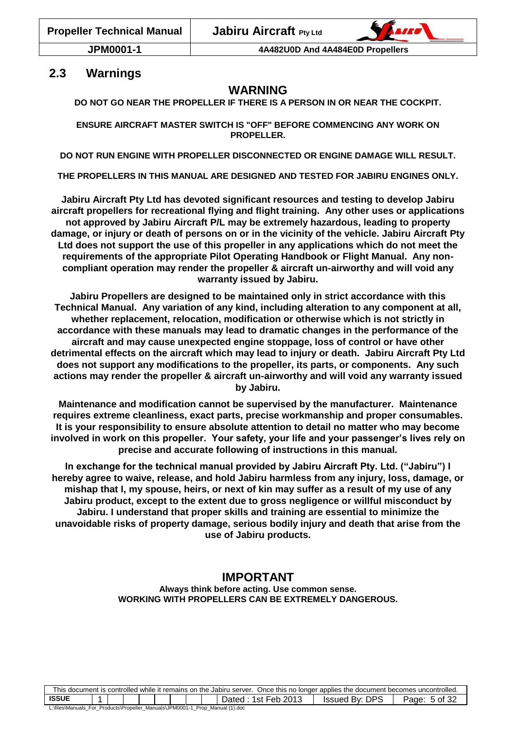## <span id="page-4-0"></span>**2.3 Warnings**

## **WARNING**

**DO NOT GO NEAR THE PROPELLER IF THERE IS A PERSON IN OR NEAR THE COCKPIT.**

**ENSURE AIRCRAFT MASTER SWITCH IS "OFF" BEFORE COMMENCING ANY WORK ON PROPELLER.**

**DO NOT RUN ENGINE WITH PROPELLER DISCONNECTED OR ENGINE DAMAGE WILL RESULT.**

**THE PROPELLERS IN THIS MANUAL ARE DESIGNED AND TESTED FOR JABIRU ENGINES ONLY.**

**Jabiru Aircraft Pty Ltd has devoted significant resources and testing to develop Jabiru aircraft propellers for recreational flying and flight training. Any other uses or applications not approved by Jabiru Aircraft P/L may be extremely hazardous, leading to property damage, or injury or death of persons on or in the vicinity of the vehicle. Jabiru Aircraft Pty Ltd does not support the use of this propeller in any applications which do not meet the requirements of the appropriate Pilot Operating Handbook or Flight Manual. Any noncompliant operation may render the propeller & aircraft un-airworthy and will void any warranty issued by Jabiru.**

**Jabiru Propellers are designed to be maintained only in strict accordance with this Technical Manual. Any variation of any kind, including alteration to any component at all, whether replacement, relocation, modification or otherwise which is not strictly in accordance with these manuals may lead to dramatic changes in the performance of the aircraft and may cause unexpected engine stoppage, loss of control or have other detrimental effects on the aircraft which may lead to injury or death. Jabiru Aircraft Pty Ltd does not support any modifications to the propeller, its parts, or components. Any such actions may render the propeller & aircraft un-airworthy and will void any warranty issued by Jabiru.**

**Maintenance and modification cannot be supervised by the manufacturer. Maintenance requires extreme cleanliness, exact parts, precise workmanship and proper consumables. It is your responsibility to ensure absolute attention to detail no matter who may become involved in work on this propeller. Your safety, your life and your passenger's lives rely on precise and accurate following of instructions in this manual.**

**In exchange for the technical manual provided by Jabiru Aircraft Pty. Ltd. ("Jabiru") I hereby agree to waive, release, and hold Jabiru harmless from any injury, loss, damage, or mishap that I, my spouse, heirs, or next of kin may suffer as a result of my use of any Jabiru product, except to the extent due to gross negligence or willful misconduct by Jabiru. I understand that proper skills and training are essential to minimize the unavoidable risks of property damage, serious bodily injury and death that arise from the use of Jabiru products.**

## **IMPORTANT**

**Always think before acting. Use common sense. WORKING WITH PROPELLERS CAN BE EXTREMELY DANGEROUS.**

|                                                                               | This document is controlled while it remains on the Jabiru server. Once this no longer applies the document becomes uncontrolled. |  |  |  |  |  |  |  |                               |                     |       |
|-------------------------------------------------------------------------------|-----------------------------------------------------------------------------------------------------------------------------------|--|--|--|--|--|--|--|-------------------------------|---------------------|-------|
| <b>ISSUE</b>                                                                  |                                                                                                                                   |  |  |  |  |  |  |  | -2013<br>Feb<br>Jated<br>1St. | " By: DPS<br>Issued | Page: |
| L:\files\Manuals For Products\Propeller Manuals\JPM0001-1 Prop Manual (1).doc |                                                                                                                                   |  |  |  |  |  |  |  |                               |                     |       |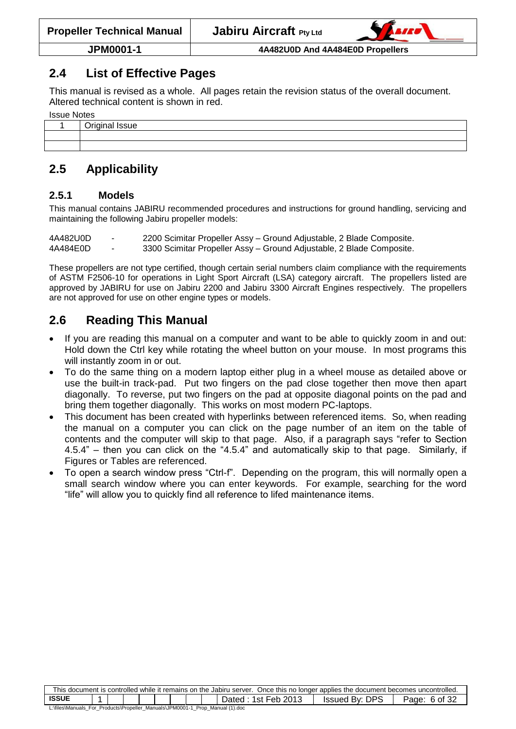## <span id="page-5-0"></span>**2.4 List of Effective Pages**

This manual is revised as a whole. All pages retain the revision status of the overall document. Altered technical content is shown in red.

| <b>Issue Notes</b> |                         |  |  |  |  |  |  |  |
|--------------------|-------------------------|--|--|--|--|--|--|--|
|                    | $\bigcap$ riginal lecuo |  |  |  |  |  |  |  |

| 1.4.2.1.0.7<br>ue.<br>∼ |
|-------------------------|
|                         |
|                         |

# <span id="page-5-1"></span>**2.5 Applicability**

#### <span id="page-5-2"></span>**2.5.1 Models**

This manual contains JABIRU recommended procedures and instructions for ground handling, servicing and maintaining the following Jabiru propeller models:

4A482U0D - 2200 Scimitar Propeller Assy – Ground Adjustable, 2 Blade Composite. 4A484E0D - 3300 Scimitar Propeller Assy – Ground Adjustable, 2 Blade Composite.

These propellers are not type certified, though certain serial numbers claim compliance with the requirements of ASTM F2506-10 for operations in Light Sport Aircraft (LSA) category aircraft. The propellers listed are approved by JABIRU for use on Jabiru 2200 and Jabiru 3300 Aircraft Engines respectively. The propellers are not approved for use on other engine types or models.

## <span id="page-5-3"></span>**2.6 Reading This Manual**

- If you are reading this manual on a computer and want to be able to quickly zoom in and out: Hold down the Ctrl key while rotating the wheel button on your mouse. In most programs this will instantly zoom in or out.
- To do the same thing on a modern laptop either plug in a wheel mouse as detailed above or use the built-in track-pad. Put two fingers on the pad close together then move then apart diagonally. To reverse, put two fingers on the pad at opposite diagonal points on the pad and bring them together diagonally. This works on most modern PC-laptops.
- This document has been created with hyperlinks between referenced items. So, when reading the manual on a computer you can click on the page number of an item on the table of contents and the computer will skip to that page. Also, if a paragraph says "refer to Section [4.5.4"](#page-17-1) – then you can click on the ["4.5.4"](#page-17-1) and automatically skip to that page. Similarly, if Figures or Tables are referenced.
- <span id="page-5-4"></span> To open a search window press "Ctrl-f". Depending on the program, this will normally open a small search window where you can enter keywords. For example, searching for the word "life" will allow you to quickly find all reference to lifed maintenance items.

| This document is controlled while it remains on the Jabiru server. Once this no longer applies the document becomes uncontrolled. |  |  |  |  |  |  |  |  |                          |                       |                  |
|-----------------------------------------------------------------------------------------------------------------------------------|--|--|--|--|--|--|--|--|--------------------------|-----------------------|------------------|
| <b>ISSUE</b>                                                                                                                      |  |  |  |  |  |  |  |  | ': 1st Feb 2013<br>Dated | <b>Issued By: DPS</b> | 6 of 32<br>Page: |
| L:\files\Manuals_For_Products\Propeller_Manuals\JPM0001-1_Prop_Manual (1).doc                                                     |  |  |  |  |  |  |  |  |                          |                       |                  |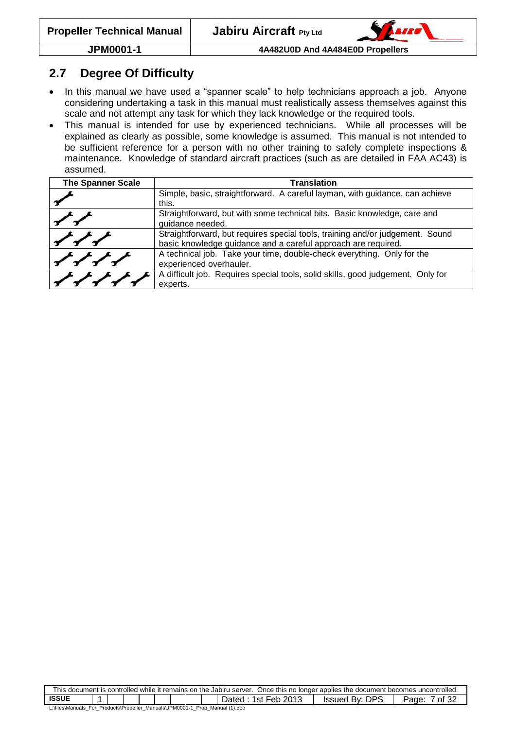

## **2.7 Degree Of Difficulty**

- In this manual we have used a "spanner scale" to help technicians approach a job. Anyone considering undertaking a task in this manual must realistically assess themselves against this scale and not attempt any task for which they lack knowledge or the required tools.
- This manual is intended for use by experienced technicians. While all processes will be explained as clearly as possible, some knowledge is assumed. This manual is not intended to be sufficient reference for a person with no other training to safely complete inspections & maintenance. Knowledge of standard aircraft practices (such as are detailed in FAA AC43) is assumed.

| <b>The Spanner Scale</b> | <b>Translation</b>                                                                                                                             |
|--------------------------|------------------------------------------------------------------------------------------------------------------------------------------------|
|                          | Simple, basic, straightforward. A careful layman, with guidance, can achieve<br>this.                                                          |
|                          |                                                                                                                                                |
|                          | Straightforward, but with some technical bits. Basic knowledge, care and<br>guidance needed.                                                   |
|                          | Straightforward, but requires special tools, training and/or judgement. Sound<br>basic knowledge guidance and a careful approach are required. |
|                          | A technical job. Take your time, double-check everything. Only for the<br>experienced overhauler.                                              |
|                          | A difficult job. Requires special tools, solid skills, good judgement. Only for<br>experts.                                                    |

| This document is controlled while it remains on the Jabiru server. Once this no longer applies the document becomes uncontrolled. |                                                                   |  |  |  |  |  |  |  |  |  |  |  |
|-----------------------------------------------------------------------------------------------------------------------------------|-------------------------------------------------------------------|--|--|--|--|--|--|--|--|--|--|--|
| <b>ISSUE</b>                                                                                                                      | <b>Issued By: DPS</b><br>1st Feb 2013<br>of 32<br>Dated:<br>Page. |  |  |  |  |  |  |  |  |  |  |  |
| L:\files\Manuals_For_Products\Propeller_Manuals\JPM0001-1_Prop_Manual (1).doc                                                     |                                                                   |  |  |  |  |  |  |  |  |  |  |  |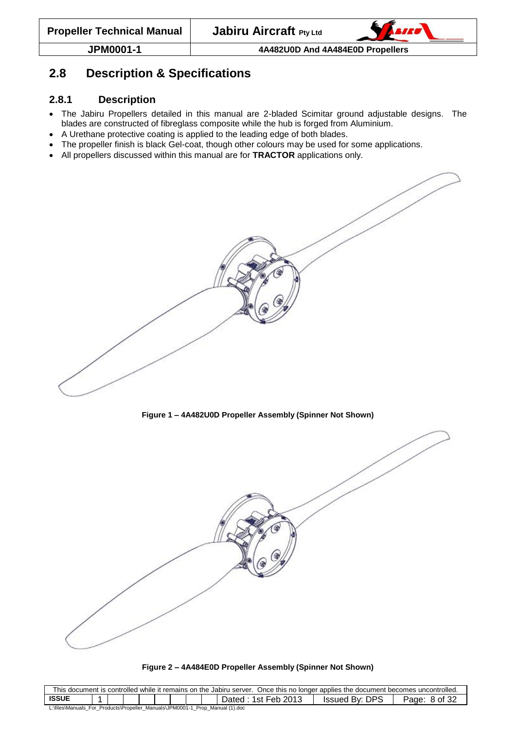

## <span id="page-7-0"></span>**2.8 Description & Specifications**

#### <span id="page-7-1"></span>**2.8.1 Description**

- The Jabiru Propellers detailed in this manual are 2-bladed Scimitar ground adjustable designs. The blades are constructed of fibreglass composite while the hub is forged from Aluminium.
- A Urethane protective coating is applied to the leading edge of both blades.
- The propeller finish is black Gel-coat, though other colours may be used for some applications.
- All propellers discussed within this manual are for **TRACTOR** applications only.

**Figure 1 – 4A482U0D Propeller Assembly (Spinner Not Shown)**

<span id="page-7-2"></span>



| This document is controlled while it remains on the Jabiru server. Once this no longer applies the document becomes uncontrolled. |                                                                               |  |  |  |  |  |  |  |                           |                       |                  |  |  |
|-----------------------------------------------------------------------------------------------------------------------------------|-------------------------------------------------------------------------------|--|--|--|--|--|--|--|---------------------------|-----------------------|------------------|--|--|
| <b>ISSUE</b>                                                                                                                      |                                                                               |  |  |  |  |  |  |  | : 1st Feb 2013<br>Dated ∶ | <b>Issued By: DPS</b> | 8 of 32<br>Page: |  |  |
|                                                                                                                                   | L:\files\Manuals For Products\Propeller Manuals\JPM0001-1 Prop Manual (1).doc |  |  |  |  |  |  |  |                           |                       |                  |  |  |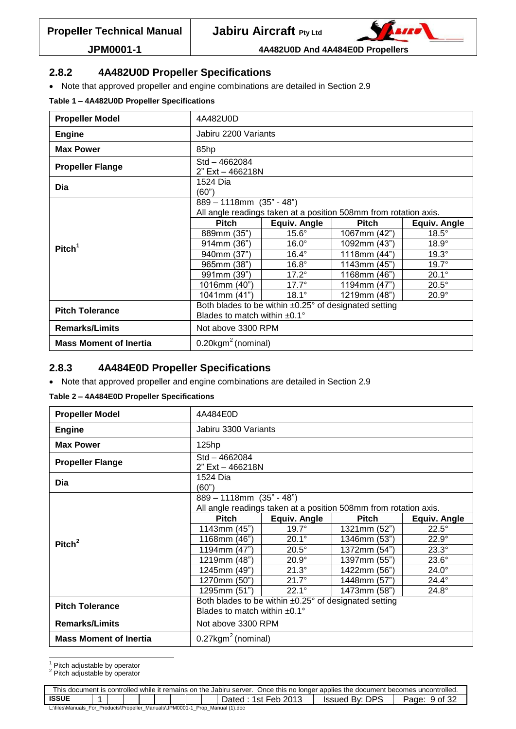

#### <span id="page-8-0"></span>**2.8.2 4A482U0D Propeller Specifications**

Note that approved propeller and engine combinations are detailed in Section [2.9](#page-9-0)

<span id="page-8-2"></span>**Table 1 – 4A482U0D Propeller Specifications**

| <b>Propeller Model</b>        | 4A482U0D                                                                                                 |                                                                                                   |              |              |  |  |  |  |  |  |  |
|-------------------------------|----------------------------------------------------------------------------------------------------------|---------------------------------------------------------------------------------------------------|--------------|--------------|--|--|--|--|--|--|--|
| <b>Engine</b>                 | Jabiru 2200 Variants                                                                                     |                                                                                                   |              |              |  |  |  |  |  |  |  |
| <b>Max Power</b>              | 85hp                                                                                                     |                                                                                                   |              |              |  |  |  |  |  |  |  |
| <b>Propeller Flange</b>       | Std - 4662084<br>2" Ext - 466218N                                                                        |                                                                                                   |              |              |  |  |  |  |  |  |  |
| Dia                           | 1524 Dia<br>(60")                                                                                        |                                                                                                   |              |              |  |  |  |  |  |  |  |
|                               |                                                                                                          | $889 - 1118$ mm $(35" - 48")$<br>All angle readings taken at a position 508mm from rotation axis. |              |              |  |  |  |  |  |  |  |
|                               | <b>Pitch</b>                                                                                             | <b>Equiv. Angle</b>                                                                               | <b>Pitch</b> | Equiv. Angle |  |  |  |  |  |  |  |
|                               | 889mm (35")                                                                                              | $15.6^\circ$                                                                                      | 1067mm (42") | $18.5^\circ$ |  |  |  |  |  |  |  |
| Pitch <sup>1</sup>            | 914mm (36")                                                                                              | $16.0^\circ$                                                                                      | 1092mm (43") | $18.9^\circ$ |  |  |  |  |  |  |  |
|                               | 940mm (37")                                                                                              | $16.4^\circ$                                                                                      | 1118mm (44") | $19.3^\circ$ |  |  |  |  |  |  |  |
|                               | 965mm (38")                                                                                              | $16.8^\circ$                                                                                      | 1143mm (45") | $19.7^\circ$ |  |  |  |  |  |  |  |
|                               | 991mm (39")                                                                                              | $17.2^\circ$                                                                                      | 1168mm (46") | $20.1^\circ$ |  |  |  |  |  |  |  |
|                               | 1016mm (40")                                                                                             | $17.7^\circ$                                                                                      | 1194mm (47") | $20.5^\circ$ |  |  |  |  |  |  |  |
|                               | 1041mm (41")                                                                                             | $18.1^\circ$                                                                                      | 1219mm (48") | $20.9^\circ$ |  |  |  |  |  |  |  |
| <b>Pitch Tolerance</b>        | Both blades to be within $\pm 0.25^\circ$ of designated setting<br>Blades to match within $±0.1^{\circ}$ |                                                                                                   |              |              |  |  |  |  |  |  |  |
| <b>Remarks/Limits</b>         | Not above 3300 RPM                                                                                       |                                                                                                   |              |              |  |  |  |  |  |  |  |
| <b>Mass Moment of Inertia</b> | $0.20$ kgm <sup>2</sup> (nominal)                                                                        |                                                                                                   |              |              |  |  |  |  |  |  |  |

#### <span id="page-8-1"></span>**2.8.3 4A484E0D Propeller Specifications**

Note that approved propeller and engine combinations are detailed in Section [2.9](#page-9-0)

#### <span id="page-8-3"></span>**Table 2 – 4A484E0D Propeller Specifications**

| <b>Propeller Model</b>  | 4A484E0D                                                                                     |                                                                 |              |              |  |  |  |  |  |  |
|-------------------------|----------------------------------------------------------------------------------------------|-----------------------------------------------------------------|--------------|--------------|--|--|--|--|--|--|
| <b>Engine</b>           | Jabiru 3300 Variants                                                                         |                                                                 |              |              |  |  |  |  |  |  |
| <b>Max Power</b>        | 125hp                                                                                        |                                                                 |              |              |  |  |  |  |  |  |
| <b>Propeller Flange</b> | Std-4662084<br>2" Ext - 466218N                                                              |                                                                 |              |              |  |  |  |  |  |  |
| Dia                     | 1524 Dia<br>(60")                                                                            |                                                                 |              |              |  |  |  |  |  |  |
|                         | 889 - 1118mm (35" - 48")<br>All angle readings taken at a position 508mm from rotation axis. |                                                                 |              |              |  |  |  |  |  |  |
|                         | <b>Pitch</b>                                                                                 | Equiv. Angle                                                    |              |              |  |  |  |  |  |  |
|                         |                                                                                              | $19.7^\circ$                                                    | 1321mm (52") | $22.5^\circ$ |  |  |  |  |  |  |
|                         | 1143mm (45")                                                                                 |                                                                 |              |              |  |  |  |  |  |  |
|                         | 1168mm (46")                                                                                 | $20.1^\circ$                                                    | 1346mm (53") | $22.9^\circ$ |  |  |  |  |  |  |
| Pitch <sup>2</sup>      | 1194mm (47")                                                                                 | $20.5^\circ$                                                    | 1372mm (54") | $23.3^\circ$ |  |  |  |  |  |  |
|                         | 1219mm (48")                                                                                 | $20.9^\circ$                                                    | 1397mm (55") | $23.6^\circ$ |  |  |  |  |  |  |
|                         | 1245mm (49")                                                                                 | $21.3^\circ$                                                    | 1422mm (56") | $24.0^\circ$ |  |  |  |  |  |  |
|                         | 1270mm (50")                                                                                 | $21.7^\circ$                                                    | 1448mm (57") | $24.4^\circ$ |  |  |  |  |  |  |
|                         | 1295mm (51")                                                                                 | $22.1^\circ$                                                    | 1473mm (58") | $24.8^\circ$ |  |  |  |  |  |  |
|                         |                                                                                              | Both blades to be within $\pm 0.25^\circ$ of designated setting |              |              |  |  |  |  |  |  |
| <b>Pitch Tolerance</b>  | Blades to match within $±0.1^{\circ}$                                                        |                                                                 |              |              |  |  |  |  |  |  |
| <b>Remarks/Limits</b>   | Not above 3300 RPM                                                                           |                                                                 |              |              |  |  |  |  |  |  |

j  $<sup>1</sup>$  Pitch adjustable by operator</sup>

 $2^{\circ}$  Pitch adjustable by operator

| This document is controlled while it remains on the Jabiru server. Once this no longer applies the document becomes uncontrolled. |  |  |  |  |  |  |  |  |  |  |  |
|-----------------------------------------------------------------------------------------------------------------------------------|--|--|--|--|--|--|--|--|--|--|--|
| <b>ISSUE</b><br>: 1st Feb 2013<br>Issued By: DPS<br>9 of 32<br>⊃ated<br>Page:                                                     |  |  |  |  |  |  |  |  |  |  |  |
| L:\files\Manuals_For_Products\Propeller_Manuals\JPM0001-1_Prop_Manual (1).doc                                                     |  |  |  |  |  |  |  |  |  |  |  |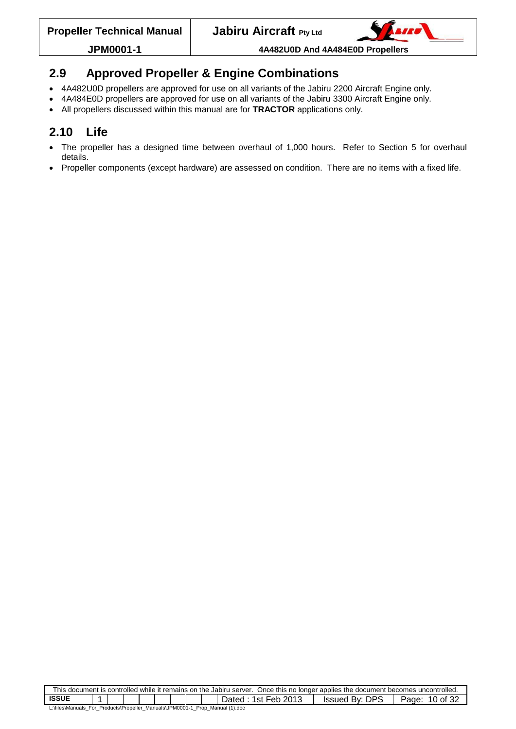## <span id="page-9-0"></span>**2.9 Approved Propeller & Engine Combinations**

- 4A482U0D propellers are approved for use on all variants of the Jabiru 2200 Aircraft Engine only.
- 4A484E0D propellers are approved for use on all variants of the Jabiru 3300 Aircraft Engine only.
- All propellers discussed within this manual are for **TRACTOR** applications only.

## <span id="page-9-1"></span>**2.10 Life**

- The propeller has a designed time between overhaul of 1,000 hours. Refer to Section [5](#page-28-0) for overhaul details.
- Propeller components (except hardware) are assessed on condition. There are no items with a fixed life.

| This document is controlled while it remains on the Jabiru server. Once this no longer applies the document becomes uncontrolled. |                                                                |  |  |  |  |  |  |  |  |  |  |  |
|-----------------------------------------------------------------------------------------------------------------------------------|----------------------------------------------------------------|--|--|--|--|--|--|--|--|--|--|--|
| <b>ISSUE</b>                                                                                                                      | Issued By: DPS<br>:1st Feb 2013:<br>10 of 32<br>Dated<br>Page: |  |  |  |  |  |  |  |  |  |  |  |
| L:\files\Manuals_For_Products\Propeller_Manuals\JPM0001-1_Prop_Manual (1).doc                                                     |                                                                |  |  |  |  |  |  |  |  |  |  |  |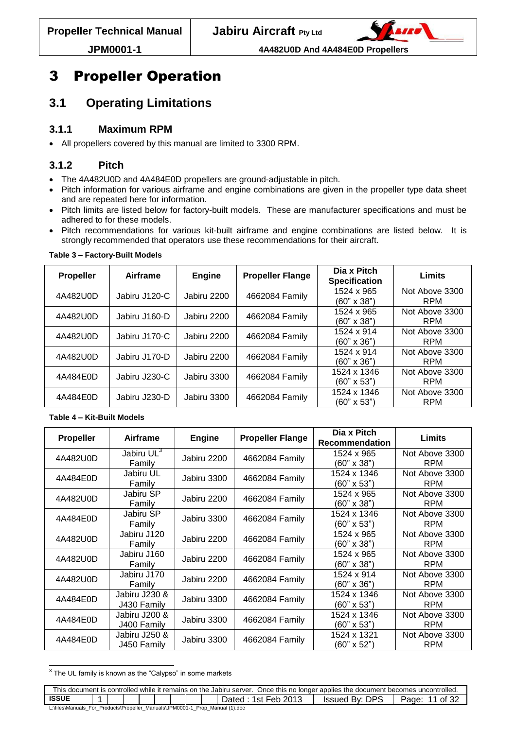

# <span id="page-10-0"></span>3 Propeller Operation

# <span id="page-10-1"></span>**3.1 Operating Limitations**

## <span id="page-10-2"></span>**3.1.1 Maximum RPM**

<span id="page-10-3"></span>All propellers covered by this manual are limited to 3300 RPM.

## **3.1.2 Pitch**

- The 4A482U0D and 4A484E0D propellers are ground-adjustable in pitch.
- Pitch information for various airframe and engine combinations are given in the propeller type data sheet and are repeated here for information.
- Pitch limits are listed below for factory-built models. These are manufacturer specifications and must be adhered to for these models.
- Pitch recommendations for various kit-built airframe and engine combinations are listed below. It is strongly recommended that operators use these recommendations for their aircraft.

| <b>Propeller</b> | Airframe      | Engine      | <b>Propeller Flange</b> | Dia x Pitch<br><b>Specification</b> | Limits                       |
|------------------|---------------|-------------|-------------------------|-------------------------------------|------------------------------|
| 4A482U0D         | Jabiru J120-C | Jabiru 2200 | 4662084 Family          | 1524 x 965<br>$(60" \times 38")$    | Not Above 3300<br><b>RPM</b> |
| 4A482U0D         | Jabiru J160-D | Jabiru 2200 | 4662084 Family          | 1524 x 965<br>$(60" \times 38")$    | Not Above 3300<br><b>RPM</b> |
| 4A482U0D         | Jabiru J170-C | Jabiru 2200 | 4662084 Family          | 1524 x 914<br>$(60" \times 36")$    | Not Above 3300<br><b>RPM</b> |
| 4A482U0D         | Jabiru J170-D | Jabiru 2200 | 4662084 Family          | 1524 x 914<br>$(60" \times 36")$    | Not Above 3300<br><b>RPM</b> |
| 4A484E0D         | Jabiru J230-C | Jabiru 3300 | 4662084 Family          | 1524 x 1346<br>$(60" \times 53")$   | Not Above 3300<br><b>RPM</b> |
| 4A484E0D         | Jabiru J230-D | Jabiru 3300 | 4662084 Family          | 1524 x 1346<br>$(60" \times 53")$   | Not Above 3300<br><b>RPM</b> |

#### <span id="page-10-4"></span>**Table 3 – Factory-Built Models**

#### <span id="page-10-5"></span>**Table 4 – Kit-Built Models**

| Propeller | Airframe                         | <b>Engine</b> | <b>Propeller Flange</b> | Dia x Pitch<br><b>Recommendation</b> | Limits                       |
|-----------|----------------------------------|---------------|-------------------------|--------------------------------------|------------------------------|
| 4A482U0D  | Jabiru UL <sup>3</sup><br>Family | Jabiru 2200   | 4662084 Family          | 1524 x 965<br>(60" x 38")            | Not Above 3300<br><b>RPM</b> |
| 4A484E0D  | Jabiru UL<br>Family              | Jabiru 3300   | 4662084 Family          | 1524 x 1346<br>(60" x 53")           | Not Above 3300<br><b>RPM</b> |
| 4A482U0D  | Jabiru SP<br>Family              | Jabiru 2200   | 4662084 Family          | 1524 x 965<br>$(60" \times 38")$     | Not Above 3300<br><b>RPM</b> |
| 4A484E0D  | Jabiru SP<br>Family              | Jabiru 3300   | 4662084 Family          | 1524 x 1346<br>$(60" \times 53")$    | Not Above 3300<br><b>RPM</b> |
| 4A482U0D  | Jabiru J120<br>Family            | Jabiru 2200   | 4662084 Family          | 1524 x 965<br>$(60" \times 38")$     | Not Above 3300<br><b>RPM</b> |
| 4A482U0D  | Jabiru J160<br>Family            | Jabiru 2200   | 4662084 Family          | 1524 x 965<br>(60" x 38")            | Not Above 3300<br><b>RPM</b> |
| 4A482U0D  | Jabiru J170<br>Family            | Jabiru 2200   | 4662084 Family          | 1524 x 914<br>$(60" \times 36")$     | Not Above 3300<br><b>RPM</b> |
| 4A484E0D  | Jabiru J230 &<br>J430 Family     | Jabiru 3300   | 4662084 Family          | 1524 x 1346<br>$(60" \times 53")$    | Not Above 3300<br><b>RPM</b> |
| 4A484E0D  | Jabiru J200 &<br>J400 Family     | Jabiru 3300   | 4662084 Family          | 1524 x 1346<br>$(60" \times 53")$    | Not Above 3300<br><b>RPM</b> |
| 4A484E0D  | Jabiru J250 &<br>J450 Family     | Jabiru 3300   | 4662084 Family          | 1524 x 1321<br>$(60" \times 52")$    | Not Above 3300<br><b>RPM</b> |

<sup>3</sup> The UL family is known as the "Calypso" in some markets

| This document is controlled while it remains on the Jabiru server. Once this no longer applies the document becomes uncontrolled. |  |  |  |  |  |  |  |  |                       |                |                  |
|-----------------------------------------------------------------------------------------------------------------------------------|--|--|--|--|--|--|--|--|-----------------------|----------------|------------------|
| <b>ISSUE</b>                                                                                                                      |  |  |  |  |  |  |  |  | 1st Feb 2013<br>Jated | Issued By: DPS | of $32$<br>Page: |
| L:\files\Manuals_For_Products\Propeller_Manuals\JPM0001-1_                                                                        |  |  |  |  |  |  |  |  | Prop Manual (1).doc   |                |                  |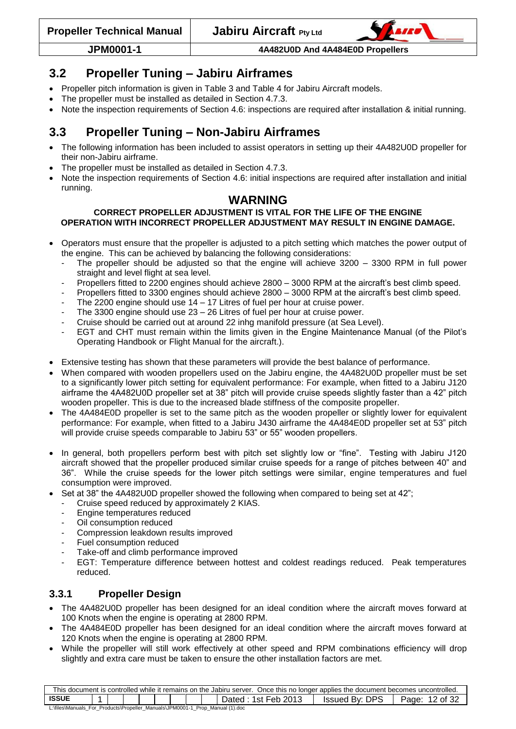

## <span id="page-11-0"></span>**3.2 Propeller Tuning – Jabiru Airframes**

- Propeller pitch information is given in [Table 3](#page-10-4) and [Table 4](#page-10-5) for Jabiru Aircraft models.
- The propeller must be installed as detailed in Section [4.7.3.](#page-21-3)
- Note the inspection requirements of Section [4.6:](#page-17-3) inspections are required after installation & initial running.

## <span id="page-11-1"></span>**3.3 Propeller Tuning – Non-Jabiru Airframes**

- The following information has been included to assist operators in setting up their 4A482U0D propeller for their non-Jabiru airframe.
- The propeller must be installed as detailed in Section [4.7.3.](#page-21-3)
- Note the inspection requirements of Section [4.6:](#page-17-3) initial inspections are required after installation and initial running.

## **WARNING**

#### **CORRECT PROPELLER ADJUSTMENT IS VITAL FOR THE LIFE OF THE ENGINE OPERATION WITH INCORRECT PROPELLER ADJUSTMENT MAY RESULT IN ENGINE DAMAGE.**

- Operators must ensure that the propeller is adjusted to a pitch setting which matches the power output of the engine. This can be achieved by balancing the following considerations:
	- The propeller should be adjusted so that the engine will achieve  $3200 3300$  RPM in full power straight and level flight at sea level.
	- Propellers fitted to 2200 engines should achieve 2800 3000 RPM at the aircraft's best climb speed.
	- Propellers fitted to 3300 engines should achieve 2800 3000 RPM at the aircraft's best climb speed.
	- The 2200 engine should use  $14 17$  Litres of fuel per hour at cruise power.
	- The 3300 engine should use  $23 26$  Litres of fuel per hour at cruise power.
	- Cruise should be carried out at around 22 inhg manifold pressure (at Sea Level).
	- EGT and CHT must remain within the limits given in the Engine Maintenance Manual (of the Pilot's Operating Handbook or Flight Manual for the aircraft.).
- Extensive testing has shown that these parameters will provide the best balance of performance.
- When compared with wooden propellers used on the Jabiru engine, the 4A482U0D propeller must be set to a significantly lower pitch setting for equivalent performance: For example, when fitted to a Jabiru J120 airframe the 4A482U0D propeller set at 38" pitch will provide cruise speeds slightly faster than a 42" pitch wooden propeller. This is due to the increased blade stiffness of the composite propeller.
- The 4A484E0D propeller is set to the same pitch as the wooden propeller or slightly lower for equivalent performance: For example, when fitted to a Jabiru J430 airframe the 4A484E0D propeller set at 53" pitch will provide cruise speeds comparable to Jabiru 53" or 55" wooden propellers.
- In general, both propellers perform best with pitch set slightly low or "fine". Testing with Jabiru J120 aircraft showed that the propeller produced similar cruise speeds for a range of pitches between 40" and 36". While the cruise speeds for the lower pitch settings were similar, engine temperatures and fuel consumption were improved.
- Set at 38" the 4A482U0D propeller showed the following when compared to being set at 42";
	- Cruise speed reduced by approximately 2 KIAS.
	- Engine temperatures reduced
	- Oil consumption reduced
	- Compression leakdown results improved
	- Fuel consumption reduced
	- Take-off and climb performance improved
	- EGT: Temperature difference between hottest and coldest readings reduced. Peak temperatures reduced.

## <span id="page-11-2"></span>**3.3.1 Propeller Design**

- The 4A482U0D propeller has been designed for an ideal condition where the aircraft moves forward at 100 Knots when the engine is operating at 2800 RPM.
- The 4A484E0D propeller has been designed for an ideal condition where the aircraft moves forward at 120 Knots when the engine is operating at 2800 RPM.
- While the propeller will still work effectively at other speed and RPM combinations efficiency will drop slightly and extra care must be taken to ensure the other installation factors are met.

| This document is controlled while it remains on the Jabiru server. Once this no longer applies the document becomes uncontrolled. |  |  |  |  |  |  |  |  |  |  |  |  |
|-----------------------------------------------------------------------------------------------------------------------------------|--|--|--|--|--|--|--|--|--|--|--|--|
| <b>ISSUE</b><br>1st Feb 2013<br>DPS<br>12 of 32<br>Issued By:<br>Dated<br>Page:                                                   |  |  |  |  |  |  |  |  |  |  |  |  |
| L:\files\Manuals_For_Products\Propeller_Manuals\JPM0001-1_Prop_Manual (1).doc                                                     |  |  |  |  |  |  |  |  |  |  |  |  |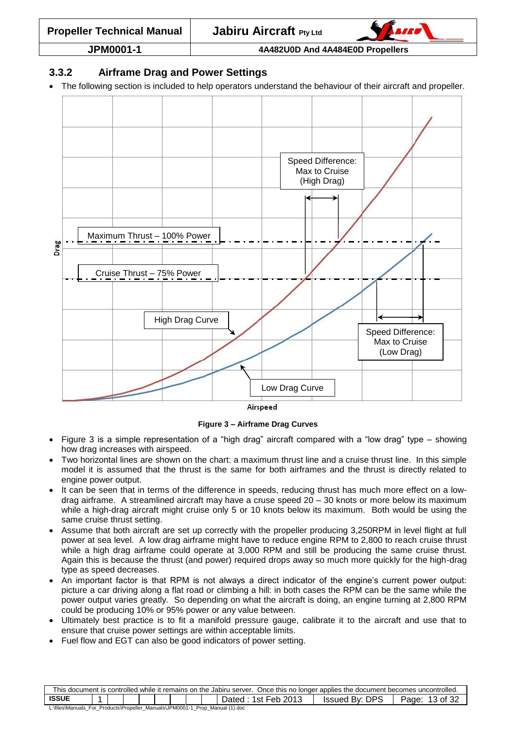

#### <span id="page-12-0"></span>**3.3.2 Airframe Drag and Power Settings**

The following section is included to help operators understand the behaviour of their aircraft and propeller.



Airspeed

**Figure 3 – Airframe Drag Curves**

- <span id="page-12-1"></span> [Figure 3](#page-12-1) is a simple representation of a "high drag" aircraft compared with a "low drag" type – showing how drag increases with airspeed.
- Two horizontal lines are shown on the chart: a maximum thrust line and a cruise thrust line. In this simple model it is assumed that the thrust is the same for both airframes and the thrust is directly related to engine power output.
- It can be seen that in terms of the difference in speeds, reducing thrust has much more effect on a lowdrag airframe. A streamlined aircraft may have a cruse speed 20 – 30 knots or more below its maximum while a high-drag aircraft might cruise only 5 or 10 knots below its maximum. Both would be using the same cruise thrust setting.
- Assume that both aircraft are set up correctly with the propeller producing 3,250RPM in level flight at full power at sea level. A low drag airframe might have to reduce engine RPM to 2,800 to reach cruise thrust while a high drag airframe could operate at 3,000 RPM and still be producing the same cruise thrust. Again this is because the thrust (and power) required drops away so much more quickly for the high-drag type as speed decreases.
- An important factor is that RPM is not always a direct indicator of the engine's current power output: picture a car driving along a flat road or climbing a hill: in both cases the RPM can be the same while the power output varies greatly. So depending on what the aircraft is doing, an engine turning at 2,800 RPM could be producing 10% or 95% power or any value between.
- Ultimately best practice is to fit a manifold pressure gauge, calibrate it to the aircraft and use that to ensure that cruise power settings are within acceptable limits.
- Fuel flow and EGT can also be good indicators of power setting.

| This document is controlled while it remains on the Jabiru server. Once this no longer applies the document becomes uncontrolled. |                                                                               |  |  |  |  |  |  |  |  |  |  |  |
|-----------------------------------------------------------------------------------------------------------------------------------|-------------------------------------------------------------------------------|--|--|--|--|--|--|--|--|--|--|--|
| <b>ISSUE</b><br>By: DPS<br>1st Feb 2013<br>!3 of 32<br><b>Issued</b><br>Page:<br>Jated                                            |                                                                               |  |  |  |  |  |  |  |  |  |  |  |
|                                                                                                                                   | L:\files\Manuals_For_Products\Propeller_Manuals\JPM0001-1_Prop_Manual (1).doc |  |  |  |  |  |  |  |  |  |  |  |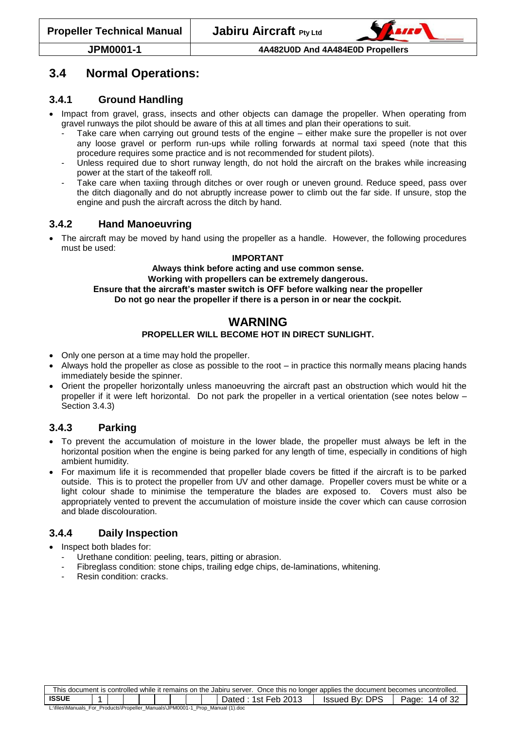

## <span id="page-13-0"></span>**3.4 Normal Operations:**

#### <span id="page-13-1"></span>**3.4.1 Ground Handling**

- Impact from gravel, grass, insects and other objects can damage the propeller. When operating from gravel runways the pilot should be aware of this at all times and plan their operations to suit.
	- Take care when carrying out ground tests of the engine either make sure the propeller is not over any loose gravel or perform run-ups while rolling forwards at normal taxi speed (note that this procedure requires some practice and is not recommended for student pilots).
	- Unless required due to short runway length, do not hold the aircraft on the brakes while increasing power at the start of the takeoff roll.
	- Take care when taxiing through ditches or over rough or uneven ground. Reduce speed, pass over the ditch diagonally and do not abruptly increase power to climb out the far side. If unsure, stop the engine and push the aircraft across the ditch by hand.

#### <span id="page-13-2"></span>**3.4.2 Hand Manoeuvring**

• The aircraft may be moved by hand using the propeller as a handle. However, the following procedures must be used:

#### **IMPORTANT**

**Always think before acting and use common sense.**

#### **Working with propellers can be extremely dangerous.**

**Ensure that the aircraft's master switch is OFF before walking near the propeller**

**Do not go near the propeller if there is a person in or near the cockpit.**

#### **WARNING PROPELLER WILL BECOME HOT IN DIRECT SUNLIGHT.**

- Only one person at a time may hold the propeller.
- Always hold the propeller as close as possible to the root in practice this normally means placing hands immediately beside the spinner.
- Orient the propeller horizontally unless manoeuvring the aircraft past an obstruction which would hit the propeller if it were left horizontal. Do not park the propeller in a vertical orientation (see notes below – Section [3.4.3\)](#page-13-3)

## <span id="page-13-3"></span>**3.4.3 Parking**

- To prevent the accumulation of moisture in the lower blade, the propeller must always be left in the horizontal position when the engine is being parked for any length of time, especially in conditions of high ambient humidity.
- For maximum life it is recommended that propeller blade covers be fitted if the aircraft is to be parked outside. This is to protect the propeller from UV and other damage. Propeller covers must be white or a light colour shade to minimise the temperature the blades are exposed to. Covers must also be appropriately vented to prevent the accumulation of moisture inside the cover which can cause corrosion and blade discolouration.

## <span id="page-13-4"></span>**3.4.4 Daily Inspection**

- Inspect both blades for:
	- Urethane condition: peeling, tears, pitting or abrasion.
	- Fibreglass condition: stone chips, trailing edge chips, de-laminations, whitening.
	- Resin condition: cracks.

| This document is controlled while it remains on the Jabiru server. Once this no longer applies the document becomes uncontrolled. |                                                                       |  |  |  |  |  |  |  |  |  |  |  |
|-----------------------------------------------------------------------------------------------------------------------------------|-----------------------------------------------------------------------|--|--|--|--|--|--|--|--|--|--|--|
| <b>ISSUE</b>                                                                                                                      | <b>Issued By: DPS</b><br>1st Feb 2013<br>Dated<br>of 32<br>Page:<br>4 |  |  |  |  |  |  |  |  |  |  |  |
| L:\files\Manuals_For_Products\Propeller_Manuals\JPM0001-1_Prop_Manual (1).doc                                                     |                                                                       |  |  |  |  |  |  |  |  |  |  |  |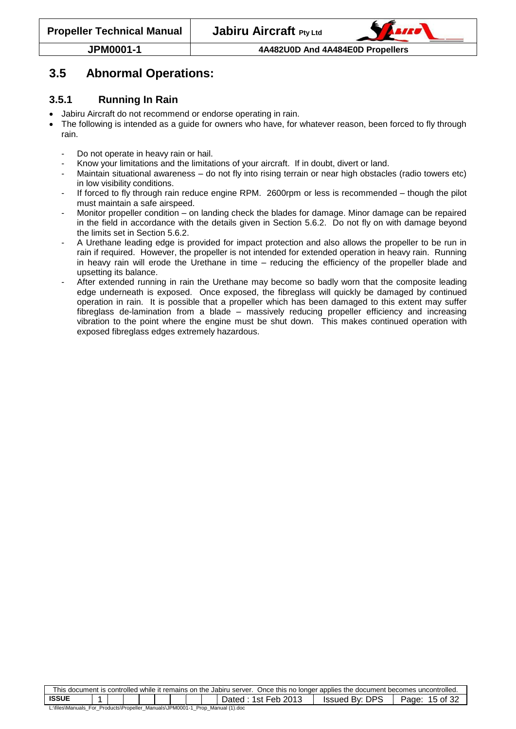

## <span id="page-14-0"></span>**3.5 Abnormal Operations:**

## <span id="page-14-1"></span>**3.5.1 Running In Rain**

- Jabiru Aircraft do not recommend or endorse operating in rain.
- The following is intended as a guide for owners who have, for whatever reason, been forced to fly through rain.
	- Do not operate in heavy rain or hail.
	- Know your limitations and the limitations of your aircraft. If in doubt, divert or land.
	- Maintain situational awareness do not fly into rising terrain or near high obstacles (radio towers etc) in low visibility conditions.
	- If forced to fly through rain reduce engine RPM. 2600rpm or less is recommended though the pilot must maintain a safe airspeed.
	- Monitor propeller condition on landing check the blades for damage. Minor damage can be repaired in the field in accordance with the details given in Section [5.6.2.](#page-30-2) Do not fly on with damage beyond the limits set in Section [5.6.2.](#page-30-2)
	- A Urethane leading edge is provided for impact protection and also allows the propeller to be run in rain if required. However, the propeller is not intended for extended operation in heavy rain. Running in heavy rain will erode the Urethane in time – reducing the efficiency of the propeller blade and upsetting its balance.
	- After extended running in rain the Urethane may become so badly worn that the composite leading edge underneath is exposed. Once exposed, the fibreglass will quickly be damaged by continued operation in rain. It is possible that a propeller which has been damaged to this extent may suffer fibreglass de-lamination from a blade – massively reducing propeller efficiency and increasing vibration to the point where the engine must be shut down. This makes continued operation with exposed fibreglass edges extremely hazardous.

| This document is controlled while it remains on the Jabiru server. Once this no longer applies the document becomes uncontrolled. |  |  |  |  |  |  |  |  |                       |                |                                            |
|-----------------------------------------------------------------------------------------------------------------------------------|--|--|--|--|--|--|--|--|-----------------------|----------------|--------------------------------------------|
| <b>ISSUE</b>                                                                                                                      |  |  |  |  |  |  |  |  | 1st Feb 2013<br>Dated | Issued By: DPS | of 32<br>Page:<br>$\overline{\phantom{a}}$ |
| L:\files\Manuals_For_Products\Propeller_Manuals\JPM0001-1_Prop_Manual (1).doc                                                     |  |  |  |  |  |  |  |  |                       |                |                                            |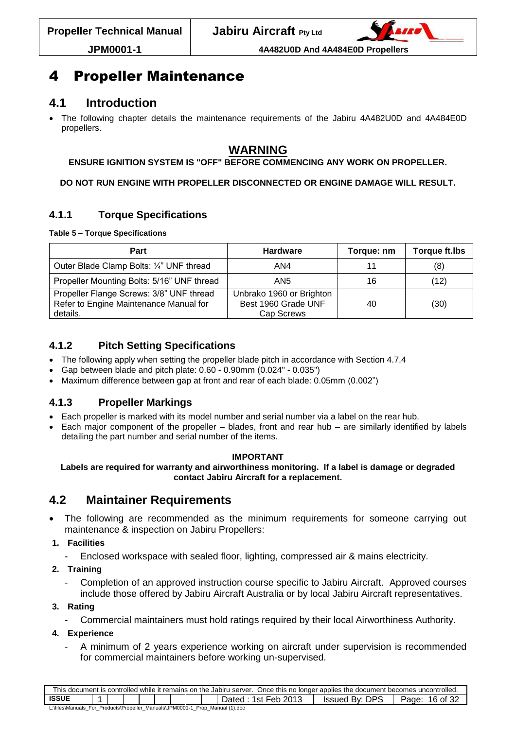

# <span id="page-15-0"></span>4 Propeller Maintenance

## <span id="page-15-1"></span>**4.1 Introduction**

 The following chapter details the maintenance requirements of the Jabiru 4A482U0D and 4A484E0D propellers.

## **WARNING**

#### **ENSURE IGNITION SYSTEM IS "OFF" BEFORE COMMENCING ANY WORK ON PROPELLER.**

#### **DO NOT RUN ENGINE WITH PROPELLER DISCONNECTED OR ENGINE DAMAGE WILL RESULT.**

## <span id="page-15-2"></span>**4.1.1 Torque Specifications**

#### <span id="page-15-6"></span>**Table 5 – Torque Specifications**

| Part                                                                                           | <b>Hardware</b>                                               | Torque: nm | <b>Torque ft.lbs</b> |
|------------------------------------------------------------------------------------------------|---------------------------------------------------------------|------------|----------------------|
| Outer Blade Clamp Bolts: 1/4" UNF thread                                                       | AN4                                                           |            | (8)                  |
| Propeller Mounting Bolts: 5/16" UNF thread                                                     | AN <sub>5</sub>                                               | 16         | (12)                 |
| Propeller Flange Screws: 3/8" UNF thread<br>Refer to Engine Maintenance Manual for<br>details. | Unbrako 1960 or Brighton<br>Best 1960 Grade UNF<br>Cap Screws | 40         | (30)                 |

## <span id="page-15-3"></span>**4.1.2 Pitch Setting Specifications**

- The following apply when setting the propeller blade pitch in accordance with Section [4.7.4](#page-22-0)
- Gap between blade and pitch plate: 0.60 0.90mm (0.024" 0.035")
- Maximum difference between gap at front and rear of each blade: 0.05mm (0.002")

## <span id="page-15-4"></span>**4.1.3 Propeller Markings**

- Each propeller is marked with its model number and serial number via a label on the rear hub.
- Each major component of the propeller blades, front and rear hub are similarly identified by labels detailing the part number and serial number of the items.

#### **IMPORTANT**

#### **Labels are required for warranty and airworthiness monitoring. If a label is damage or degraded contact Jabiru Aircraft for a replacement.**

## <span id="page-15-5"></span>**4.2 Maintainer Requirements**

- The following are recommended as the minimum requirements for someone carrying out maintenance & inspection on Jabiru Propellers:
- **1. Facilities**
	- Enclosed workspace with sealed floor, lighting, compressed air & mains electricity.
- **2. Training**
	- Completion of an approved instruction course specific to Jabiru Aircraft. Approved courses include those offered by Jabiru Aircraft Australia or by local Jabiru Aircraft representatives.

#### **3. Rating**

- Commercial maintainers must hold ratings required by their local Airworthiness Authority.

#### **4. Experience**

A minimum of 2 years experience working on aircraft under supervision is recommended for commercial maintainers before working un-supervised.

| This document is controlled while it remains on the Jabiru server. Once this no longer applies the document becomes uncontrolled. |  |  |  |  |  |  |  |  |                       |                       |                   |
|-----------------------------------------------------------------------------------------------------------------------------------|--|--|--|--|--|--|--|--|-----------------------|-----------------------|-------------------|
| <b>ISSUE</b>                                                                                                                      |  |  |  |  |  |  |  |  | 1st Feb 2013<br>Dated | <b>Issued By: DPS</b> | 16 of 32<br>Page: |
| L:\files\Manuals_For_Products\Propeller_Manuals\JPM0001-1_Prop_Manual (1).doc                                                     |  |  |  |  |  |  |  |  |                       |                       |                   |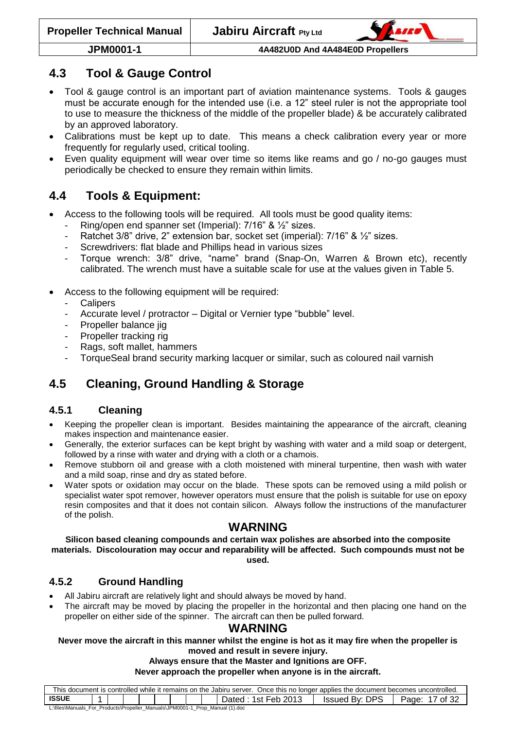

## <span id="page-16-0"></span>**4.3 Tool & Gauge Control**

- Tool & gauge control is an important part of aviation maintenance systems. Tools & gauges must be accurate enough for the intended use (i.e. a 12" steel ruler is not the appropriate tool to use to measure the thickness of the middle of the propeller blade) & be accurately calibrated by an approved laboratory.
- Calibrations must be kept up to date. This means a check calibration every year or more frequently for regularly used, critical tooling.
- Even quality equipment will wear over time so items like reams and go / no-go gauges must periodically be checked to ensure they remain within limits.

# <span id="page-16-1"></span>**4.4 Tools & Equipment:**

- Access to the following tools will be required. All tools must be good quality items:
	- Ring/open end spanner set (Imperial): 7/16" & 1/2" sizes.
	- Ratchet 3/8" drive, 2" extension bar, socket set (imperial): 7/16" & 1/2" sizes.
	- Screwdrivers: flat blade and Phillips head in various sizes
	- Torque wrench: 3/8" drive, "name" brand (Snap-On, Warren & Brown etc), recently calibrated. The wrench must have a suitable scale for use at the values given in [Table 5.](#page-15-6)
- Access to the following equipment will be required:
	- **Calipers**
	- Accurate level / protractor Digital or Vernier type "bubble" level.
	- Propeller balance jig
	- Propeller tracking rig
	- Rags, soft mallet, hammers
	- TorqueSeal brand security marking lacquer or similar, such as coloured nail varnish

# <span id="page-16-2"></span>**4.5 Cleaning, Ground Handling & Storage**

## <span id="page-16-3"></span>**4.5.1 Cleaning**

- Keeping the propeller clean is important. Besides maintaining the appearance of the aircraft, cleaning makes inspection and maintenance easier.
- Generally, the exterior surfaces can be kept bright by washing with water and a mild soap or detergent, followed by a rinse with water and drying with a cloth or a chamois.
- Remove stubborn oil and grease with a cloth moistened with mineral turpentine, then wash with water and a mild soap, rinse and dry as stated before.
- Water spots or oxidation may occur on the blade. These spots can be removed using a mild polish or specialist water spot remover, however operators must ensure that the polish is suitable for use on epoxy resin composites and that it does not contain silicon. Always follow the instructions of the manufacturer of the polish.

## **WARNING**

**Silicon based cleaning compounds and certain wax polishes are absorbed into the composite materials. Discolouration may occur and reparability will be affected. Such compounds must not be used.**

## <span id="page-16-4"></span>**4.5.2 Ground Handling**

- All Jabiru aircraft are relatively light and should always be moved by hand.
- The aircraft may be moved by placing the propeller in the horizontal and then placing one hand on the propeller on either side of the spinner. The aircraft can then be pulled forward.

## **WARNING**

#### **Never move the aircraft in this manner whilst the engine is hot as it may fire when the propeller is moved and result in severe injury.**

#### **Always ensure that the Master and Ignitions are OFF.**

**Never approach the propeller when anyone is in the aircraft.**

| This document is controlled while it remains on the Jabiru server.<br>Once this no longer applies the document becomes uncontrolled. |  |  |  |  |  |  |  |  |                       |                          |                 |
|--------------------------------------------------------------------------------------------------------------------------------------|--|--|--|--|--|--|--|--|-----------------------|--------------------------|-----------------|
| <b>ISSUF</b>                                                                                                                         |  |  |  |  |  |  |  |  | 1st Feb 2013<br>⊃ated | By: DPS<br><b>Issued</b> | of $3'$<br>Page |
| L:\files\Manuals For Products\Propeller Manuals\JPM0001-1 Prop Manual (1).doc                                                        |  |  |  |  |  |  |  |  |                       |                          |                 |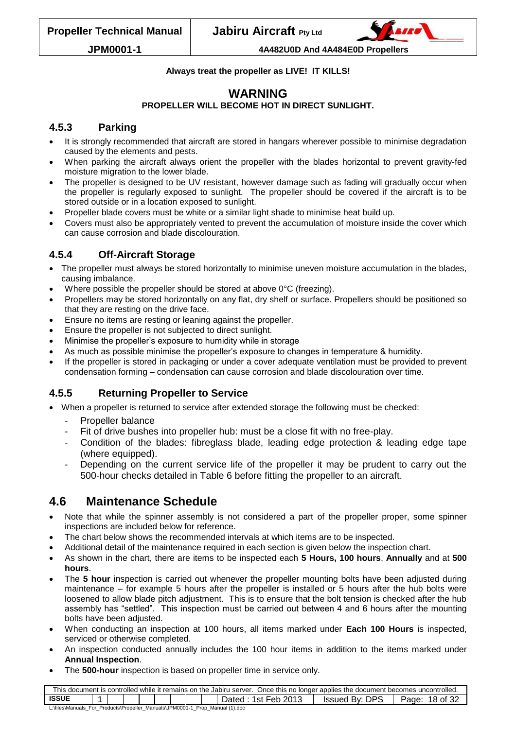

#### **Always treat the propeller as LIVE! IT KILLS!**

## **WARNING**

#### **PROPELLER WILL BECOME HOT IN DIRECT SUNLIGHT.**

#### <span id="page-17-0"></span>**4.5.3 Parking**

- It is strongly recommended that aircraft are stored in hangars wherever possible to minimise degradation caused by the elements and pests.
- When parking the aircraft always orient the propeller with the blades horizontal to prevent gravity-fed moisture migration to the lower blade.
- The propeller is designed to be UV resistant, however damage such as fading will gradually occur when the propeller is regularly exposed to sunlight. The propeller should be covered if the aircraft is to be stored outside or in a location exposed to sunlight.
- Propeller blade covers must be white or a similar light shade to minimise heat build up.
- Covers must also be appropriately vented to prevent the accumulation of moisture inside the cover which can cause corrosion and blade discolouration.

#### <span id="page-17-1"></span>**4.5.4 Off-Aircraft Storage**

- The propeller must always be stored horizontally to minimise uneven moisture accumulation in the blades, causing imbalance.
- Where possible the propeller should be stored at above 0°C (freezing).
- Propellers may be stored horizontally on any flat, dry shelf or surface. Propellers should be positioned so that they are resting on the drive face.
- Ensure no items are resting or leaning against the propeller.
- Ensure the propeller is not subjected to direct sunlight.
- Minimise the propeller's exposure to humidity while in storage
- As much as possible minimise the propeller's exposure to changes in temperature & humidity.
- If the propeller is stored in packaging or under a cover adequate ventilation must be provided to prevent condensation forming – condensation can cause corrosion and blade discolouration over time.

## <span id="page-17-2"></span>**4.5.5 Returning Propeller to Service**

- When a propeller is returned to service after extended storage the following must be checked:
	- Propeller balance
	- Fit of drive bushes into propeller hub: must be a close fit with no free-play.
	- Condition of the blades: fibreglass blade, leading edge protection & leading edge tape (where equipped).
	- Depending on the current service life of the propeller it may be prudent to carry out the 500-hour checks detailed in [Table 6](#page-18-1) before fitting the propeller to an aircraft.

## <span id="page-17-3"></span>**4.6 Maintenance Schedule**

- Note that while the spinner assembly is not considered a part of the propeller proper, some spinner inspections are included below for reference.
- The chart below shows the recommended intervals at which items are to be inspected.
- Additional detail of the maintenance required in each section is given below the inspection chart.
- As shown in the chart, there are items to be inspected each **5 Hours, 100 hours**, **Annually** and at **500 hours**.
- The **5 hour** inspection is carried out whenever the propeller mounting bolts have been adjusted during maintenance – for example 5 hours after the propeller is installed or 5 hours after the hub bolts were loosened to allow blade pitch adjustment. This is to ensure that the bolt tension is checked after the hub assembly has "settled". This inspection must be carried out between 4 and 6 hours after the mounting bolts have been adjusted.
- When conducting an inspection at 100 hours, all items marked under **Each 100 Hours** is inspected, serviced or otherwise completed.
- An inspection conducted annually includes the 100 hour items in addition to the items marked under **Annual Inspection**.
- The **500-hour** inspection is based on propeller time in service only.

| This document is controlled while it remains on the Jabiru server. Once this no longer applies the document becomes uncontrolled. |  |  |  |  |  |  |  |  |                       |                |                   |
|-----------------------------------------------------------------------------------------------------------------------------------|--|--|--|--|--|--|--|--|-----------------------|----------------|-------------------|
| <b>ISSUE</b>                                                                                                                      |  |  |  |  |  |  |  |  | 1st Feb 2013<br>Dated | Issued Bv: DPS | 18 of 32<br>Page: |
| L:\files\Manuals_For_Products\Propeller_Manuals\JPM0001-1_<br>Prop Manual (1), doc                                                |  |  |  |  |  |  |  |  |                       |                |                   |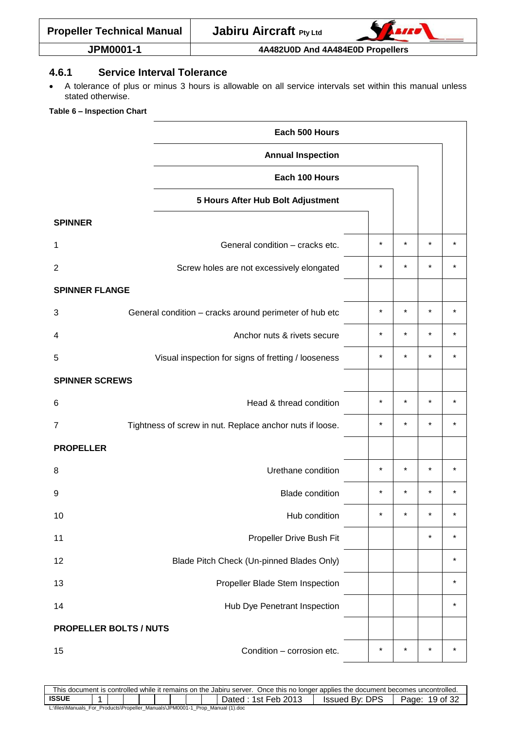| <b>Propeller Technical Manual</b> |  |
|-----------------------------------|--|
|                                   |  |



#### <span id="page-18-0"></span>**4.6.1 Service Interval Tolerance**

 A tolerance of plus or minus 3 hours is allowable on all service intervals set within this manual unless stated otherwise.

#### <span id="page-18-1"></span>**Table 6 – Inspection Chart**

|                               | Each 500 Hours                                           |            |         |          |         |
|-------------------------------|----------------------------------------------------------|------------|---------|----------|---------|
|                               | <b>Annual Inspection</b>                                 |            |         |          |         |
|                               | Each 100 Hours                                           |            |         |          |         |
|                               | 5 Hours After Hub Bolt Adjustment                        |            |         |          |         |
| <b>SPINNER</b>                |                                                          |            |         |          |         |
| 1                             | General condition - cracks etc.                          | $\star$    | $\star$ | $\star$  |         |
| $\overline{2}$                | Screw holes are not excessively elongated                | $\star$    | $\star$ | $\star$  |         |
| <b>SPINNER FLANGE</b>         |                                                          |            |         |          |         |
| 3                             | General condition - cracks around perimeter of hub etc   | $^{\star}$ | $\star$ | $\star$  | $\star$ |
| 4                             | Anchor nuts & rivets secure                              | $^\star$   | $\star$ | $^\star$ |         |
| 5                             | Visual inspection for signs of fretting / looseness      | $\star$    | $\star$ | $\star$  | $\star$ |
| <b>SPINNER SCREWS</b>         |                                                          |            |         |          |         |
| 6                             | Head & thread condition                                  | $\star$    | $\star$ | $\star$  |         |
| 7                             | Tightness of screw in nut. Replace anchor nuts if loose. | $\star$    | $\star$ | $\star$  | $\star$ |
| <b>PROPELLER</b>              |                                                          |            |         |          |         |
| 8                             | Urethane condition                                       | $\star$    | $\star$ | $\star$  |         |
| 9                             | <b>Blade condition</b>                                   | $^{\star}$ | $\star$ | $\star$  |         |
| 10                            | Hub condition                                            | *          |         | $\star$  | $\star$ |
| 11                            | Propeller Drive Bush Fit                                 |            |         | $\star$  | $\star$ |
| 12                            | Blade Pitch Check (Un-pinned Blades Only)                |            |         |          | $\star$ |
| 13                            | Propeller Blade Stem Inspection                          |            |         |          | $\star$ |
| 14                            | Hub Dye Penetrant Inspection                             |            |         |          | $\star$ |
| <b>PROPELLER BOLTS / NUTS</b> |                                                          |            |         |          |         |
| 15                            | Condition - corrosion etc.                               | $\star$    | $\star$ | $\star$  | $\star$ |

This document is controlled while it remains on the Jabiru server. Once this no longer applies the document becomes uncontrolled.<br>
ISSUE 19 of 32 **ISSUE 2013** ISSUED By: DPS | Page: 19 of 32 L:\files\Manuals\_For\_Products\Propeller\_Manuals\JPM0001-1\_Prop\_Manual (1).doc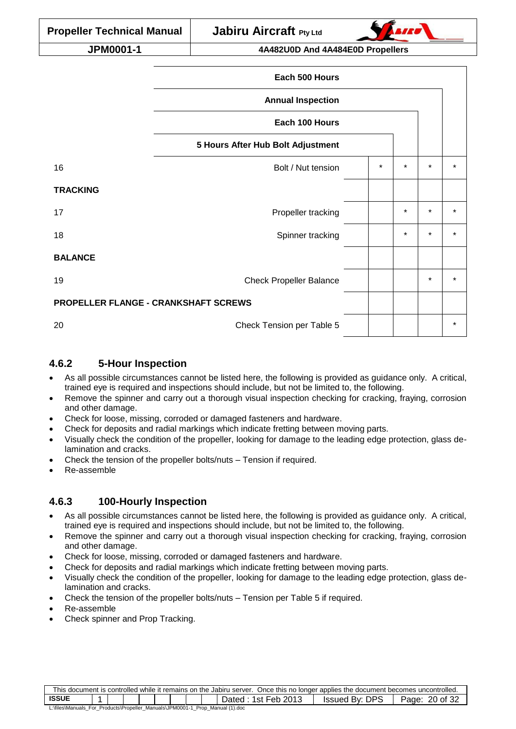|                                             | Each 500 Hours                    |         |         |         |         |
|---------------------------------------------|-----------------------------------|---------|---------|---------|---------|
|                                             | <b>Annual Inspection</b>          |         |         |         |         |
|                                             | Each 100 Hours                    |         |         |         |         |
|                                             | 5 Hours After Hub Bolt Adjustment |         |         |         |         |
| 16                                          | Bolt / Nut tension                | $\star$ | $\star$ | $\star$ | $\star$ |
| <b>TRACKING</b>                             |                                   |         |         |         |         |
| 17                                          | Propeller tracking                |         | $\star$ | $\star$ | $\star$ |
| 18                                          | Spinner tracking                  |         | $\star$ | $\star$ | $\star$ |
| <b>BALANCE</b>                              |                                   |         |         |         |         |
| 19                                          | <b>Check Propeller Balance</b>    |         |         | $\star$ | $\star$ |
| <b>PROPELLER FLANGE - CRANKSHAFT SCREWS</b> |                                   |         |         |         |         |
| 20                                          | Check Tension per Table 5         |         |         |         | $\star$ |

#### <span id="page-19-0"></span>**4.6.2 5-Hour Inspection**

- As all possible circumstances cannot be listed here, the following is provided as guidance only. A critical, trained eye is required and inspections should include, but not be limited to, the following.
- Remove the spinner and carry out a thorough visual inspection checking for cracking, fraying, corrosion and other damage.
- Check for loose, missing, corroded or damaged fasteners and hardware.
- Check for deposits and radial markings which indicate fretting between moving parts.
- Visually check the condition of the propeller, looking for damage to the leading edge protection, glass delamination and cracks.
- Check the tension of the propeller bolts/nuts Tension if required.
- Re-assemble

#### <span id="page-19-1"></span>**4.6.3 100-Hourly Inspection**

- As all possible circumstances cannot be listed here, the following is provided as guidance only. A critical, trained eye is required and inspections should include, but not be limited to, the following.
- Remove the spinner and carry out a thorough visual inspection checking for cracking, fraying, corrosion and other damage.
- Check for loose, missing, corroded or damaged fasteners and hardware.
- Check for deposits and radial markings which indicate fretting between moving parts.
- Visually check the condition of the propeller, looking for damage to the leading edge protection, glass delamination and cracks.
- Check the tension of the propeller bolts/nuts Tension per [Table 5](#page-15-6) if required.
- Re-assemble
- <span id="page-19-2"></span>Check spinner and Prop Tracking.

| This document is controlled while it remains on the Jabiru server. Once this no longer applies the document becomes uncontrolled. |  |  |  |  |  |  |  |  |                       |                |                   |
|-----------------------------------------------------------------------------------------------------------------------------------|--|--|--|--|--|--|--|--|-----------------------|----------------|-------------------|
| <b>ISSUE</b>                                                                                                                      |  |  |  |  |  |  |  |  | 1st Feb 2013<br>Dated | Issued By: DPS | 20 of 32<br>Page: |
| L:\files\Manuals_For_Products\Propeller_Manuals\JPM0001-1_Prop_Manual (1).doc                                                     |  |  |  |  |  |  |  |  |                       |                |                   |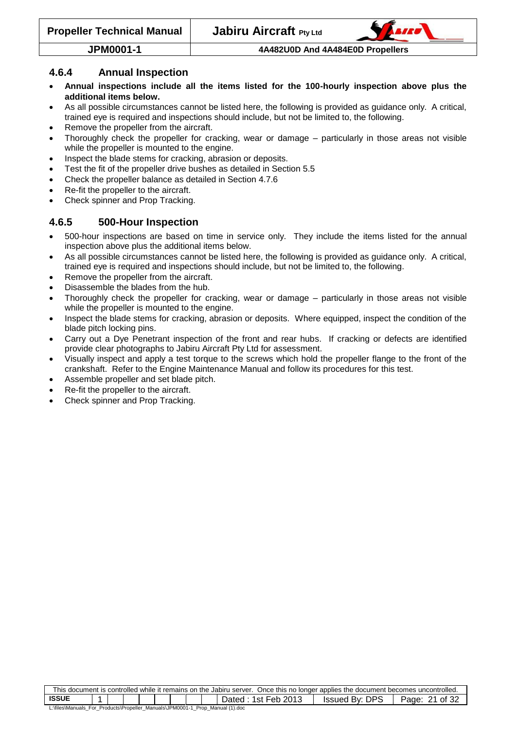

#### **4.6.4 Annual Inspection**

- **Annual inspections include all the items listed for the 100-hourly inspection above plus the additional items below.**
- As all possible circumstances cannot be listed here, the following is provided as guidance only. A critical, trained eye is required and inspections should include, but not be limited to, the following.
- Remove the propeller from the aircraft.
- Thoroughly check the propeller for cracking, wear or damage particularly in those areas not visible while the propeller is mounted to the engine.
- Inspect the blade stems for cracking, abrasion or deposits.
- Test the fit of the propeller drive bushes as detailed in Section [5.5](#page-29-1)
- Check the propeller balance as detailed in Section [4.7.6](#page-25-0)
- Re-fit the propeller to the aircraft.
- <span id="page-20-0"></span>• Check spinner and Prop Tracking.

#### **4.6.5 500-Hour Inspection**

- 500-hour inspections are based on time in service only. They include the items listed for the annual inspection above plus the additional items below.
- As all possible circumstances cannot be listed here, the following is provided as guidance only. A critical, trained eye is required and inspections should include, but not be limited to, the following.
- Remove the propeller from the aircraft.
- Disassemble the blades from the hub.
- Thoroughly check the propeller for cracking, wear or damage particularly in those areas not visible while the propeller is mounted to the engine.
- Inspect the blade stems for cracking, abrasion or deposits. Where equipped, inspect the condition of the blade pitch locking pins.
- Carry out a Dye Penetrant inspection of the front and rear hubs. If cracking or defects are identified provide clear photographs to Jabiru Aircraft Pty Ltd for assessment.
- Visually inspect and apply a test torque to the screws which hold the propeller flange to the front of the crankshaft. Refer to the Engine Maintenance Manual and follow its procedures for this test.
- Assemble propeller and set blade pitch.
- Re-fit the propeller to the aircraft.
- Check spinner and Prop Tracking.

| This document is controlled while it remains on the Jabiru server. Once this no longer applies the document becomes uncontrolled. |  |  |  |  |  |  |  |  |                     |                |                      |
|-----------------------------------------------------------------------------------------------------------------------------------|--|--|--|--|--|--|--|--|---------------------|----------------|----------------------|
| <b>ISSUE</b>                                                                                                                      |  |  |  |  |  |  |  |  | Dated: 1st Feb 2013 | Issued By: DPS | of 32<br>21<br>Page: |
| L:\files\Manuals_For_Products\Propeller_Manuals\JPM0001-1_Prop_Manual (1).doc                                                     |  |  |  |  |  |  |  |  |                     |                |                      |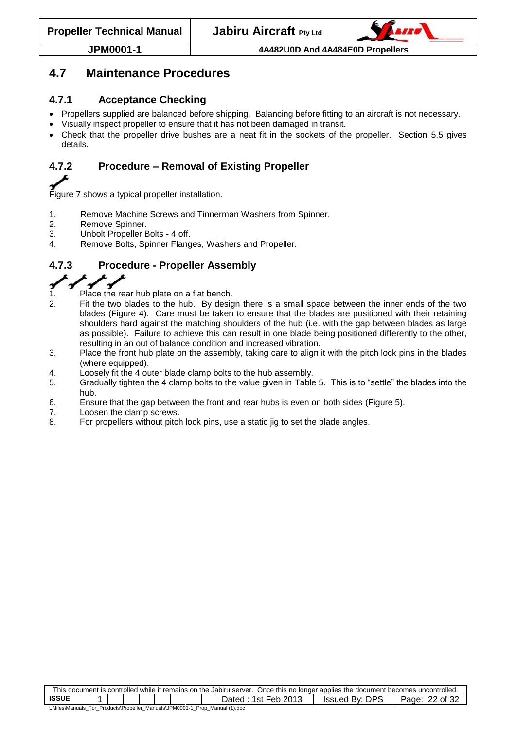

## <span id="page-21-0"></span>**4.7 Maintenance Procedures**

#### <span id="page-21-1"></span>**4.7.1 Acceptance Checking**

- Propellers supplied are balanced before shipping. Balancing before fitting to an aircraft is not necessary.
- Visually inspect propeller to ensure that it has not been damaged in transit.
- Check that the propeller drive bushes are a neat fit in the sockets of the propeller. Section [5.5](#page-29-1) gives details.

## <span id="page-21-2"></span>**4.7.2 Procedure – Removal of Existing Propeller**

[Figure 7](#page-25-1) shows a typical propeller installation.

- 1. Remove Machine Screws and Tinnerman Washers from Spinner.
- 2. Remove Spinner.
- 3. Unbolt Propeller Bolts 4 off.
- <span id="page-21-3"></span>4. Remove Bolts, Spinner Flanges, Washers and Propeller.

## **4.7.3 Procedure - Propeller Assembly**

- 1. Place the rear hub plate on a flat bench.
- 2. Fit the two blades to the hub. By design there is a small space between the inner ends of the two blades [\(Figure 4\)](#page-22-1). Care must be taken to ensure that the blades are positioned with their retaining shoulders hard against the matching shoulders of the hub (i.e. with the gap between blades as large as possible). Failure to achieve this can result in one blade being positioned differently to the other, resulting in an out of balance condition and increased vibration.
- 3. Place the front hub plate on the assembly, taking care to align it with the pitch lock pins in the blades (where equipped).
- 4. Loosely fit the 4 outer blade clamp bolts to the hub assembly.
- 5. Gradually tighten the 4 clamp bolts to the value given in [Table 5.](#page-15-6) This is to "settle" the blades into the hub.
- 6. Ensure that the gap between the front and rear hubs is even on both sides [\(Figure 5\)](#page-22-2).
- 7. Loosen the clamp screws.
- 8. For propellers without pitch lock pins, use a static jig to set the blade angles.

| This document is controlled while it remains on the Jabiru server. Once this no longer applies the document becomes uncontrolled. |  |  |  |  |  |  |  |  |                     |                |                   |
|-----------------------------------------------------------------------------------------------------------------------------------|--|--|--|--|--|--|--|--|---------------------|----------------|-------------------|
| <b>ISSUE</b>                                                                                                                      |  |  |  |  |  |  |  |  | Dated: 1st Feb 2013 | Issued By: DPS | 22 of 32<br>Page: |
| L:\files\Manuals_For_Products\Propeller_Manuals\JPM0001-1_Prop_Manual (1).doc                                                     |  |  |  |  |  |  |  |  |                     |                |                   |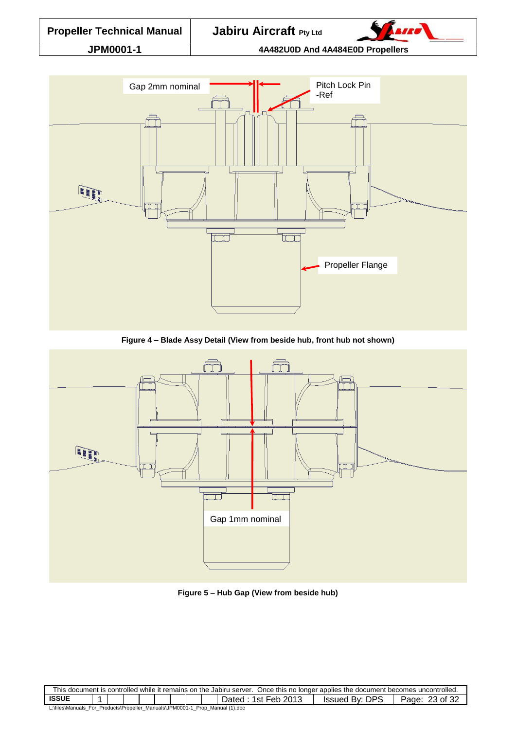

**Figure 4 – Blade Assy Detail (View from beside hub, front hub not shown)**

<span id="page-22-1"></span>

**Figure 5 – Hub Gap (View from beside hub)**

<span id="page-22-2"></span><span id="page-22-0"></span>

| This document is controlled while it remains on the Jabiru server. Once this no longer applies the document becomes uncontrolled. |  |  |  |  |  |  |  |  |                       |                       |                             |
|-----------------------------------------------------------------------------------------------------------------------------------|--|--|--|--|--|--|--|--|-----------------------|-----------------------|-----------------------------|
| <b>ISSUE</b>                                                                                                                      |  |  |  |  |  |  |  |  | 1st Feb 2013<br>⊃ated | DPS<br>Bv L<br>Issued | .of 32<br>Page <sup>-</sup> |
| L:\files\Manuals_For_Products\Propeller_Manuals\JPM0001-1<br>Prop Manual (1).doc                                                  |  |  |  |  |  |  |  |  |                       |                       |                             |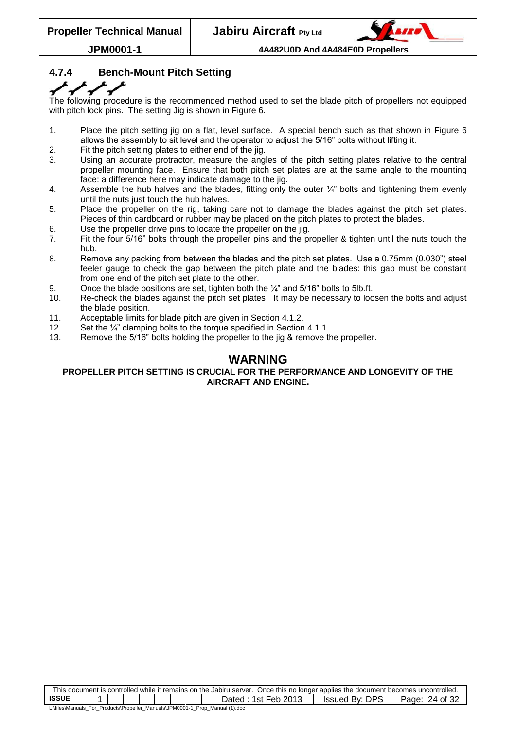

## **4.7.4 Bench-Mount Pitch Setting**

The following procedure is the recommended method used to set the blade pitch of propellers not equipped with pitch lock pins. The setting Jig is shown in [Figure 6.](#page-24-1)

- 1. Place the pitch setting jig on a flat, level surface. A special bench such as that shown in [Figure 6](#page-24-1) allows the assembly to sit level and the operator to adjust the 5/16" bolts without lifting it.
- 2. Fit the pitch setting plates to either end of the jig.
- 3. Using an accurate protractor, measure the angles of the pitch setting plates relative to the central propeller mounting face. Ensure that both pitch set plates are at the same angle to the mounting face: a difference here may indicate damage to the iig.
- 4. Assemble the hub halves and the blades, fitting only the outer  $\frac{1}{4}$ " bolts and tightening them evenly until the nuts just touch the hub halves.
- 5. Place the propeller on the rig, taking care not to damage the blades against the pitch set plates. Pieces of thin cardboard or rubber may be placed on the pitch plates to protect the blades.
- 6. Use the propeller drive pins to locate the propeller on the jig.
- 7. Fit the four 5/16" bolts through the propeller pins and the propeller & tighten until the nuts touch the hub.
- 8. Remove any packing from between the blades and the pitch set plates. Use a 0.75mm (0.030") steel feeler gauge to check the gap between the pitch plate and the blades: this gap must be constant from one end of the pitch set plate to the other.
- 9. Once the blade positions are set, tighten both the  $\frac{1}{4}$  and 5/16" bolts to 5lb.ft.
- 10. Re-check the blades against the pitch set plates. It may be necessary to loosen the bolts and adjust the blade position.
- 11. Acceptable limits for blade pitch are given in Section [4.1.2.](#page-15-3)
- 12. Set the 1/4" clamping bolts to the torque specified in Section [4.1.1.](#page-15-2)
- 13. Remove the 5/16" bolts holding the propeller to the jig & remove the propeller.

## **WARNING**

#### **PROPELLER PITCH SETTING IS CRUCIAL FOR THE PERFORMANCE AND LONGEVITY OF THE AIRCRAFT AND ENGINE.**

| This document is controlled while it remains on the Jabiru server. Once this no longer applies the document becomes uncontrolled. |  |  |  |  |  |  |  |  |  |  |
|-----------------------------------------------------------------------------------------------------------------------------------|--|--|--|--|--|--|--|--|--|--|
| <b>ISSUE</b><br><b>Issued By: DPS</b><br>Dated: 1st Feb 2013<br>24 of 32<br>Page:                                                 |  |  |  |  |  |  |  |  |  |  |
| L:\files\Manuals_For_Products\Propeller_Manuals\JPM0001-1_Prop_Manual (1).doc                                                     |  |  |  |  |  |  |  |  |  |  |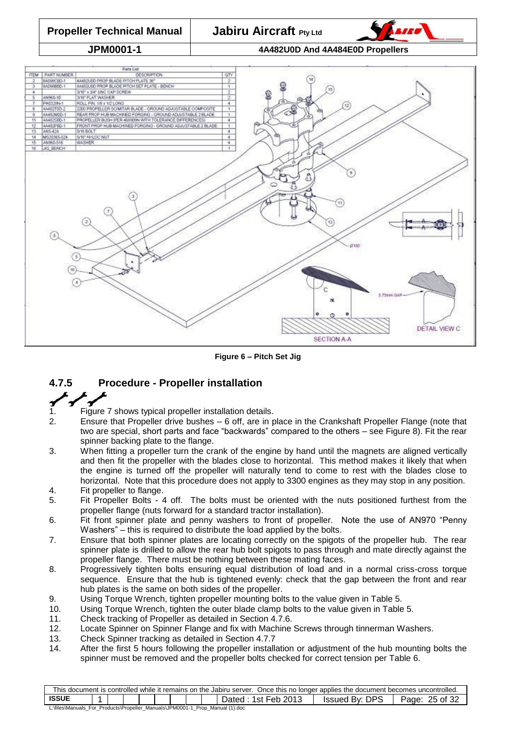

**Figure 6 – Pitch Set Jig**

# <span id="page-24-1"></span><span id="page-24-0"></span>**4.7.5 Procedure - Propeller installation**

- 1. [Figure 7](#page-25-1) shows typical propeller installation details.
- 2. Ensure that Propeller drive bushes 6 off, are in place in the Crankshaft Propeller Flange (note that two are special, short parts and face "backwards" compared to the others – see [Figure 8\)](#page-25-2). Fit the rear spinner backing plate to the flange.
- 3. When fitting a propeller turn the crank of the engine by hand until the magnets are aligned vertically and then fit the propeller with the blades close to horizontal. This method makes it likely that when the engine is turned off the propeller will naturally tend to come to rest with the blades close to horizontal. Note that this procedure does not apply to 3300 engines as they may stop in any position. 4. Fit propeller to flange.
- 5. Fit Propeller Bolts 4 off. The bolts must be oriented with the nuts positioned furthest from the propeller flange (nuts forward for a standard tractor installation).
- 6. Fit front spinner plate and penny washers to front of propeller. Note the use of AN970 "Penny Washers" – this is required to distribute the load applied by the bolts.
- 7. Ensure that both spinner plates are locating correctly on the spigots of the propeller hub. The rear spinner plate is drilled to allow the rear hub bolt spigots to pass through and mate directly against the propeller flange. There must be nothing between these mating faces.
- 8. Progressively tighten bolts ensuring equal distribution of load and in a normal criss-cross torque sequence. Ensure that the hub is tightened evenly: check that the gap between the front and rear hub plates is the same on both sides of the propeller.
- 9. Using Torque Wrench, tighten propeller mounting bolts to the value given in [Table 5.](#page-15-6)
- 10. Using Torque Wrench, tighten the outer blade clamp bolts to the value given in [Table 5.](#page-15-6)
- 11. Check tracking of Propeller as detailed in Section [4.7.6.](#page-25-0)
- 12. Locate Spinner on Spinner Flange and fix with Machine Screws through tinnerman Washers.
- 13. Check Spinner tracking as detailed in Section [4.7.7](#page-26-0)
- 14. After the first 5 hours following the propeller installation or adjustment of the hub mounting bolts the spinner must be removed and the propeller bolts checked for correct tension per [Table 6.](#page-18-1)

| This document is controlled while it remains on the Jabiru server. Once this no longer applies the document becomes uncontrolled. |  |  |  |  |  |  |  |  |                       |                |                   |
|-----------------------------------------------------------------------------------------------------------------------------------|--|--|--|--|--|--|--|--|-----------------------|----------------|-------------------|
| <b>ISSUE</b>                                                                                                                      |  |  |  |  |  |  |  |  | 1st Feb 2013<br>⊃ated | Issued By: DPS | 25 of 32<br>Page: |
| L:\files\Manuals_For_Products\Propeller_Manuals\JPM0001-1_Prop_Manual (1).doc                                                     |  |  |  |  |  |  |  |  |                       |                |                   |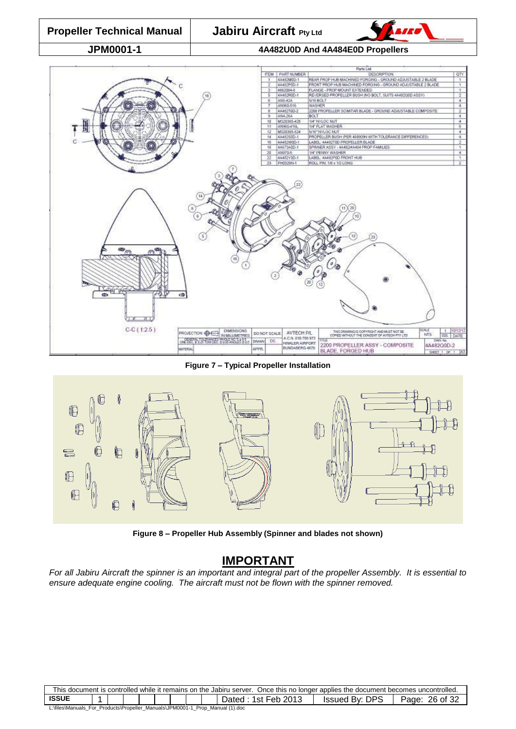

**Figure 7 – Typical Propeller Installation**

<span id="page-25-1"></span>

**Figure 8 – Propeller Hub Assembly (Spinner and blades not shown)**

## **IMPORTANT**

<span id="page-25-2"></span><span id="page-25-0"></span>*For all Jabiru Aircraft the spinner is an important and integral part of the propeller Assembly. It is essential to ensure adequate engine cooling. The aircraft must not be flown with the spinner removed.*

| This document is controlled while it remains on the Jabiru server. Once this no longer applies the document becomes uncontrolled. |  |  |  |  |  |  |  |  |                       |                                |                   |
|-----------------------------------------------------------------------------------------------------------------------------------|--|--|--|--|--|--|--|--|-----------------------|--------------------------------|-------------------|
| <b>ISSUE</b>                                                                                                                      |  |  |  |  |  |  |  |  | 1st Feb 2013<br>⊃ated | $r$ DPS<br><b>Issued By: L</b> | 26 of 32<br>Page: |
| L:\files\Manuals_For_Products\Propeller_Manuals\JPM0001-1<br>Prop Manual (1).doc                                                  |  |  |  |  |  |  |  |  |                       |                                |                   |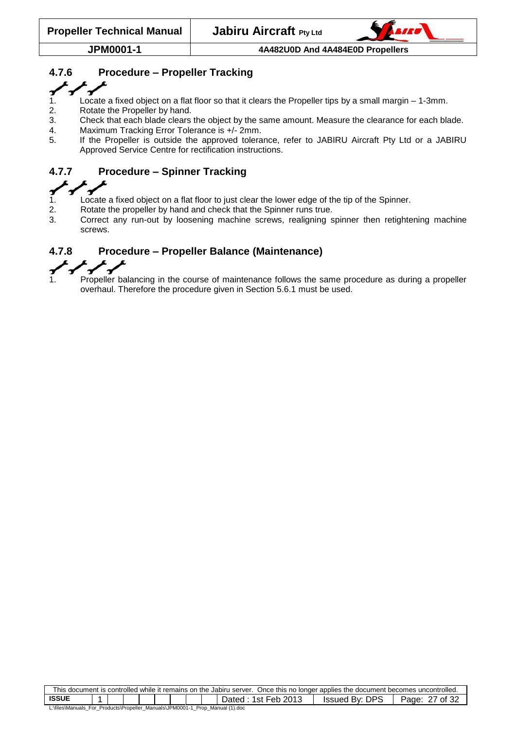

## **4.7.6 Procedure – Propeller Tracking**

- 1. Locate a fixed object on a flat floor so that it clears the Propeller tips by a small margin 1-3mm.
- 2. Rotate the Propeller by hand.
- 3. Check that each blade clears the object by the same amount. Measure the clearance for each blade.
- 4. Maximum Tracking Error Tolerance is +/- 2mm.
- 5. If the Propeller is outside the approved tolerance, refer to JABIRU Aircraft Pty Ltd or a JABIRU Approved Service Centre for rectification instructions.

## <span id="page-26-0"></span>**4.7.7 Procedure – Spinner Tracking**

- $\mathbf{r}$ 1. Locate a fixed object on a flat floor to just clear the lower edge of the tip of the Spinner.
- 2. Rotate the propeller by hand and check that the Spinner runs true.
- 3. Correct any run-out by loosening machine screws, realigning spinner then retightening machine screws.

## <span id="page-26-1"></span>**4.7.8 Procedure – Propeller Balance (Maintenance)**



Propeller balancing in the course of maintenance follows the same procedure as during a propeller overhaul. Therefore the procedure given in Section [5.6.1](#page-30-1) must be used.

| This document is controlled while it remains on the Jabiru server. Once this no longer applies the document becomes uncontrolled. |  |  |  |  |  |  |  |  |                     |                |                |
|-----------------------------------------------------------------------------------------------------------------------------------|--|--|--|--|--|--|--|--|---------------------|----------------|----------------|
| <b>ISSUE</b>                                                                                                                      |  |  |  |  |  |  |  |  | Dated: 1st Feb 2013 | Issued By: DPS | of 32<br>Page: |
| L:\files\Manuals For Products\Propeller Manuals\JPM0001-1 Prop Manual (1).doc                                                     |  |  |  |  |  |  |  |  |                     |                |                |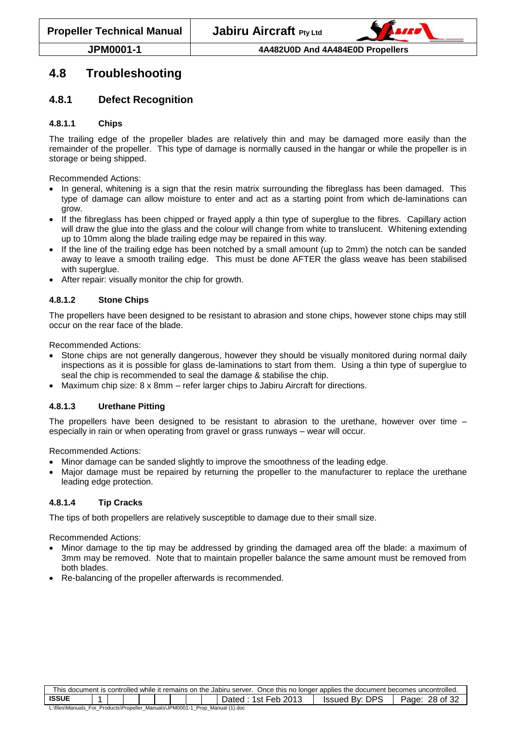

## <span id="page-27-0"></span>**4.8 Troubleshooting**

#### <span id="page-27-1"></span>**4.8.1 Defect Recognition**

#### **4.8.1.1 Chips**

The trailing edge of the propeller blades are relatively thin and may be damaged more easily than the remainder of the propeller. This type of damage is normally caused in the hangar or while the propeller is in storage or being shipped.

Recommended Actions:

- In general, whitening is a sign that the resin matrix surrounding the fibreglass has been damaged. This type of damage can allow moisture to enter and act as a starting point from which de-laminations can grow.
- If the fibreglass has been chipped or frayed apply a thin type of superglue to the fibres. Capillary action will draw the glue into the glass and the colour will change from white to translucent. Whitening extending up to 10mm along the blade trailing edge may be repaired in this way.
- If the line of the trailing edge has been notched by a small amount (up to 2mm) the notch can be sanded away to leave a smooth trailing edge. This must be done AFTER the glass weave has been stabilised with superglue.
- After repair: visually monitor the chip for growth.

#### **4.8.1.2 Stone Chips**

The propellers have been designed to be resistant to abrasion and stone chips, however stone chips may still occur on the rear face of the blade.

Recommended Actions:

- Stone chips are not generally dangerous, however they should be visually monitored during normal daily inspections as it is possible for glass de-laminations to start from them. Using a thin type of superglue to seal the chip is recommended to seal the damage & stabilise the chip.
- Maximum chip size: 8 x 8mm refer larger chips to Jabiru Aircraft for directions.

#### **4.8.1.3 Urethane Pitting**

The propellers have been designed to be resistant to abrasion to the urethane, however over time – especially in rain or when operating from gravel or grass runways – wear will occur.

Recommended Actions:

- Minor damage can be sanded slightly to improve the smoothness of the leading edge.
- Major damage must be repaired by returning the propeller to the manufacturer to replace the urethane leading edge protection.

#### **4.8.1.4 Tip Cracks**

The tips of both propellers are relatively susceptible to damage due to their small size.

Recommended Actions:

- Minor damage to the tip may be addressed by grinding the damaged area off the blade: a maximum of 3mm may be removed. Note that to maintain propeller balance the same amount must be removed from both blades.
- Re-balancing of the propeller afterwards is recommended.

| This document is controlled while it remains on the Jabiru server. Once this no longer applies the document becomes uncontrolled. |  |  |  |  |  |  |  |  |                       |                          |                   |
|-----------------------------------------------------------------------------------------------------------------------------------|--|--|--|--|--|--|--|--|-----------------------|--------------------------|-------------------|
| <b>ISSUE</b>                                                                                                                      |  |  |  |  |  |  |  |  | 1st Feb 2013<br>⊃ated | DPS<br><b>Issued By:</b> | 28 of 32<br>Page: |
| L:\files\Manuals_For_Products\Propeller_Manuals\JPM0001-1_Prop_Manual (1).doc                                                     |  |  |  |  |  |  |  |  |                       |                          |                   |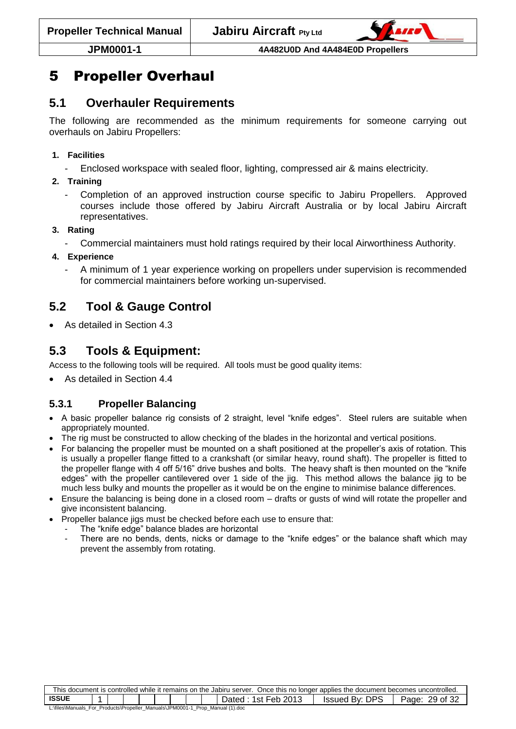

# <span id="page-28-0"></span>5 Propeller Overhaul

## <span id="page-28-1"></span>**5.1 Overhauler Requirements**

The following are recommended as the minimum requirements for someone carrying out overhauls on Jabiru Propellers:

#### **1. Facilities**

- Enclosed workspace with sealed floor, lighting, compressed air & mains electricity.
- **2. Training**
	- Completion of an approved instruction course specific to Jabiru Propellers. Approved courses include those offered by Jabiru Aircraft Australia or by local Jabiru Aircraft representatives.

#### **3. Rating**

- Commercial maintainers must hold ratings required by their local Airworthiness Authority.
- **4. Experience**
	- A minimum of 1 year experience working on propellers under supervision is recommended for commercial maintainers before working un-supervised.

# <span id="page-28-2"></span>**5.2 Tool & Gauge Control**

• As detailed in Section [4.3](#page-16-0)

## <span id="page-28-3"></span>**5.3 Tools & Equipment:**

Access to the following tools will be required. All tools must be good quality items:

As detailed in Section [4.4](#page-16-1)

## <span id="page-28-4"></span>**5.3.1 Propeller Balancing**

- A basic propeller balance rig consists of 2 straight, level "knife edges". Steel rulers are suitable when appropriately mounted.
- The rig must be constructed to allow checking of the blades in the horizontal and vertical positions.
- For balancing the propeller must be mounted on a shaft positioned at the propeller's axis of rotation. This is usually a propeller flange fitted to a crankshaft (or similar heavy, round shaft). The propeller is fitted to the propeller flange with 4 off 5/16" drive bushes and bolts. The heavy shaft is then mounted on the "knife edges" with the propeller cantilevered over 1 side of the jig. This method allows the balance jig to be much less bulky and mounts the propeller as it would be on the engine to minimise balance differences.
- Ensure the balancing is being done in a closed room drafts or gusts of wind will rotate the propeller and give inconsistent balancing.
- Propeller balance jigs must be checked before each use to ensure that:
	- The "knife edge" balance blades are horizontal
		- There are no bends, dents, nicks or damage to the "knife edges" or the balance shaft which may prevent the assembly from rotating.

| This document is controlled while it remains on the Jabiru server. Once this no longer applies the document becomes uncontrolled. |  |  |  |  |  |  |  |  |  |  |
|-----------------------------------------------------------------------------------------------------------------------------------|--|--|--|--|--|--|--|--|--|--|
| <b>ISSUE</b><br><b>Issued By: DPS</b><br>ີ 1st Feb 2013<br>29 of 32<br>Page:<br>Dated                                             |  |  |  |  |  |  |  |  |  |  |
| L:\files\Manuals_For_Products\Propeller_Manuals\JPM0001-1_Prop_Manual (1).doc                                                     |  |  |  |  |  |  |  |  |  |  |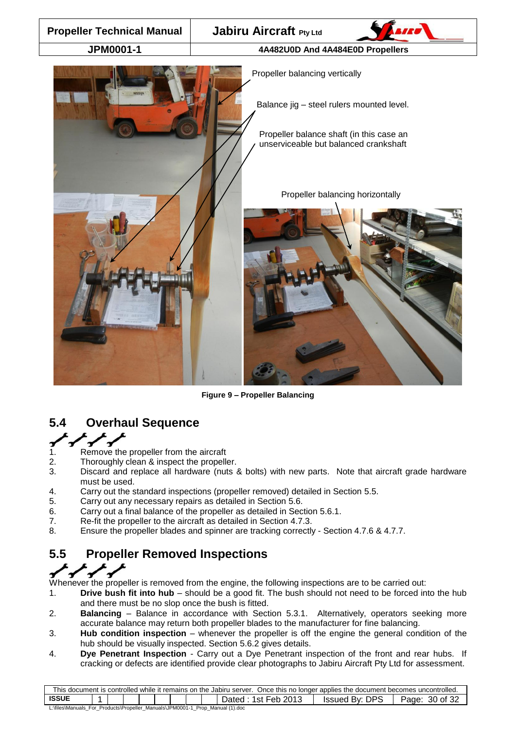

**Figure 9 – Propeller Balancing**

## <span id="page-29-2"></span><span id="page-29-0"></span>**5.4 Overhaul Sequence**

- 
- 1. Remove the propeller from the aircraft
- 2. Thoroughly clean & inspect the propeller.
- 3. Discard and replace all hardware (nuts & bolts) with new parts. Note that aircraft grade hardware must be used.
- 4. Carry out the standard inspections (propeller removed) detailed in Section [5.5.](#page-29-1)
- 5. Carry out any necessary repairs as detailed in Section [5.6.](#page-30-0)
- 6. Carry out a final balance of the propeller as detailed in Section [5.6.1.](#page-30-1)
- 7. Re-fit the propeller to the aircraft as detailed in Section [4.7.3.](#page-21-3)
- <span id="page-29-1"></span>8. Ensure the propeller blades and spinner are tracking correctly - Section [4.7.6](#page-25-0) & [4.7.7.](#page-26-0)

# **5.5 Propeller Removed Inspections**

Whenever the propeller is removed from the engine, the following inspections are to be carried out:

- 1. **Drive bush fit into hub** should be a good fit. The bush should not need to be forced into the hub and there must be no slop once the bush is fitted.
- 2. **Balancing** Balance in accordance with Section [5.3.1.](#page-28-4) Alternatively, operators seeking more accurate balance may return both propeller blades to the manufacturer for fine balancing.
- 3. **Hub condition inspection** whenever the propeller is off the engine the general condition of the hub should be visually inspected. Section [5.6.2](#page-30-2) gives details.
- 4. **Dye Penetrant Inspection** Carry out a Dye Penetrant inspection of the front and rear hubs. If cracking or defects are identified provide clear photographs to Jabiru Aircraft Pty Ltd for assessment.

| This document is controlled while it remains on the Jabiru server. Once this no longer applies the document becomes uncontrolled. |  |  |  |  |  |  |  |  |                     |                |                   |
|-----------------------------------------------------------------------------------------------------------------------------------|--|--|--|--|--|--|--|--|---------------------|----------------|-------------------|
| <b>ISSUE</b>                                                                                                                      |  |  |  |  |  |  |  |  | Dated: 1st Feb 2013 | Issued By: DPS | 30 of 32<br>Page: |
| L:\files\Manuals_For_Products\Propeller_Manuals\JPM0001-1_Prop_Manual (1).doc                                                     |  |  |  |  |  |  |  |  |                     |                |                   |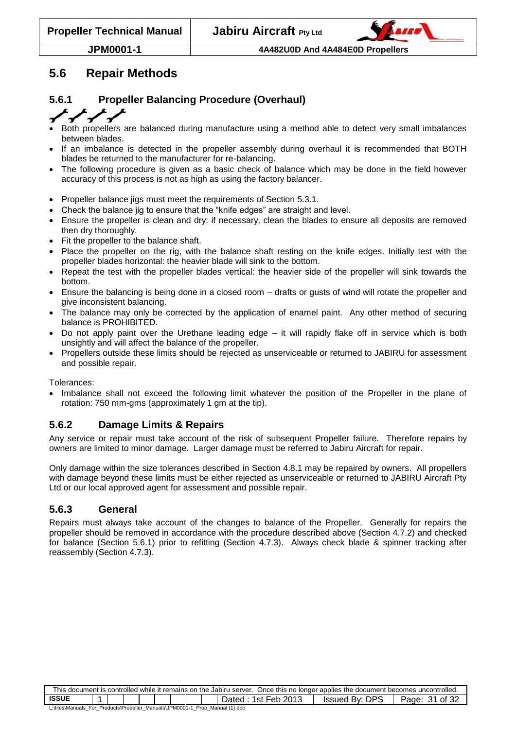

## <span id="page-30-0"></span>**5.6 Repair Methods**

## <span id="page-30-1"></span>**5.6.1 Propeller Balancing Procedure (Overhaul)**

#### $\mathbf{r}$

- Both propellers are balanced during manufacture using a method able to detect very small imbalances between blades.
- If an imbalance is detected in the propeller assembly during overhaul it is recommended that BOTH blades be returned to the manufacturer for re-balancing.
- The following procedure is given as a basic check of balance which may be done in the field however accuracy of this process is not as high as using the factory balancer.
- Propeller balance jigs must meet the requirements of Section [5.3.1.](#page-28-4)
- Check the balance jig to ensure that the "knife edges" are straight and level.
- Ensure the propeller is clean and dry: if necessary, clean the blades to ensure all deposits are removed then dry thoroughly.
- Fit the propeller to the balance shaft.
- Place the propeller on the rig, with the balance shaft resting on the knife edges. Initially test with the propeller blades horizontal: the heavier blade will sink to the bottom.
- Repeat the test with the propeller blades vertical: the heavier side of the propeller will sink towards the bottom.
- Ensure the balancing is being done in a closed room drafts or gusts of wind will rotate the propeller and give inconsistent balancing.
- The balance may only be corrected by the application of enamel paint. Any other method of securing balance is PROHIBITED.
- Do not apply paint over the Urethane leading edge it will rapidly flake off in service which is both unsightly and will affect the balance of the propeller.
- Propellers outside these limits should be rejected as unserviceable or returned to JABIRU for assessment and possible repair.

Tolerances:

• Imbalance shall not exceed the following limit whatever the position of the Propeller in the plane of rotation: 750 mm-gms (approximately 1 gm at the tip).

#### <span id="page-30-2"></span>**5.6.2 Damage Limits & Repairs**

Any service or repair must take account of the risk of subsequent Propeller failure. Therefore repairs by owners are limited to minor damage. Larger damage must be referred to Jabiru Aircraft for repair.

Only damage within the size tolerances described in Section [4.8.1](#page-27-1) may be repaired by owners. All propellers with damage beyond these limits must be either rejected as unserviceable or returned to JABIRU Aircraft Pty Ltd or our local approved agent for assessment and possible repair.

#### <span id="page-30-3"></span>**5.6.3 General**

Repairs must always take account of the changes to balance of the Propeller. Generally for repairs the propeller should be removed in accordance with the procedure described above (Section [4.7.2\)](#page-21-2) and checked for balance (Section [5.6.1\)](#page-30-1) prior to refitting (Section [4.7.3\)](#page-21-3). Always check blade & spinner tracking after reassembly (Section [4.7.3\)](#page-21-3).

| This document is controlled while it remains on the Jabiru server. Once this no longer applies the document becomes uncontrolled. |  |  |  |  |  |  |  |  |                        |                                   |                   |
|-----------------------------------------------------------------------------------------------------------------------------------|--|--|--|--|--|--|--|--|------------------------|-----------------------------------|-------------------|
| <b>ISSUE</b>                                                                                                                      |  |  |  |  |  |  |  |  | 1st Feb 2013<br>Dated: | <b>DPS</b><br><b>Issued By: [</b> | 31 of 32<br>Page: |
| L:\files\Manuals_For_Products\Propeller_Manuals\JPM0001-1_Prop_Manual (1).doc                                                     |  |  |  |  |  |  |  |  |                        |                                   |                   |